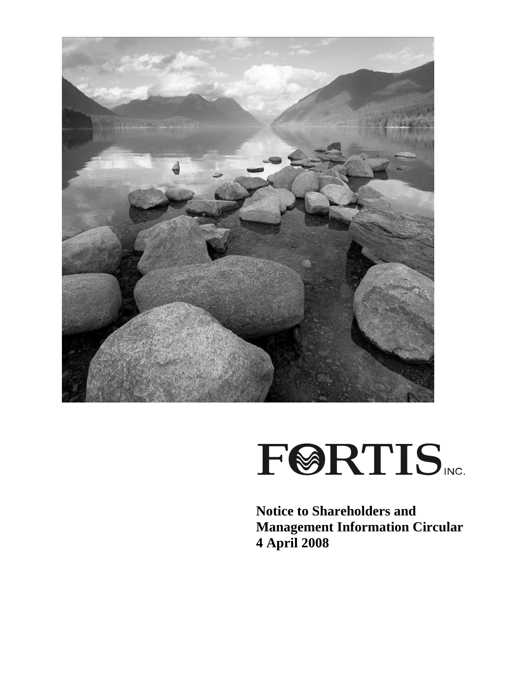

# **FØRTIS**

**Notice to Shareholders and Management Information Circular 4 April 2008**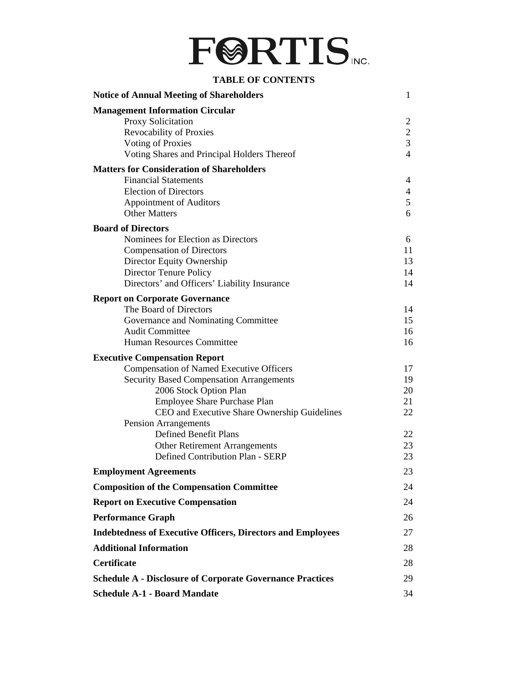

#### **TABLE OF CONTENTS**

| <b>Notice of Annual Meeting of Shareholders</b>                    | 1              |
|--------------------------------------------------------------------|----------------|
| <b>Management Information Circular</b>                             |                |
| <b>Proxy Solicitation</b>                                          | 2              |
| Revocability of Proxies                                            | $\overline{c}$ |
| <b>Voting of Proxies</b>                                           | $\overline{3}$ |
| Voting Shares and Principal Holders Thereof                        | 4              |
| <b>Matters for Consideration of Shareholders</b>                   |                |
| <b>Financial Statements</b>                                        | 4              |
| <b>Election of Directors</b>                                       | 4              |
| <b>Appointment of Auditors</b>                                     | 5              |
| <b>Other Matters</b>                                               | 6              |
| <b>Board of Directors</b>                                          |                |
| Nominees for Election as Directors                                 | 6              |
| <b>Compensation of Directors</b>                                   | 11             |
| Director Equity Ownership                                          | 13             |
| Director Tenure Policy                                             | 14             |
| Directors' and Officers' Liability Insurance                       | 14             |
| <b>Report on Corporate Governance</b>                              |                |
| The Board of Directors                                             | 14             |
| Governance and Nominating Committee                                | 15             |
| <b>Audit Committee</b>                                             | 16             |
| <b>Human Resources Committee</b>                                   | 16             |
| <b>Executive Compensation Report</b>                               |                |
| <b>Compensation of Named Executive Officers</b>                    | 17             |
| <b>Security Based Compensation Arrangements</b>                    | 19             |
| 2006 Stock Option Plan                                             | 20             |
| <b>Employee Share Purchase Plan</b>                                | 21             |
| CEO and Executive Share Ownership Guidelines                       | 22             |
| <b>Pension Arrangements</b>                                        |                |
| <b>Defined Benefit Plans</b>                                       | 22             |
| Other Retirement Arrangements                                      | 23             |
| Defined Contribution Plan - SERP                                   | 23             |
| <b>Employment Agreements</b>                                       | 23             |
| <b>Composition of the Compensation Committee</b>                   | 24             |
| <b>Report on Executive Compensation</b>                            | 24             |
| <b>Performance Graph</b>                                           | 26             |
| <b>Indebtedness of Executive Officers, Directors and Employees</b> | 27             |
| <b>Additional Information</b>                                      | 28             |
| <b>Certificate</b>                                                 | 28             |
| <b>Schedule A - Disclosure of Corporate Governance Practices</b>   | 29             |
| <b>Schedule A-1 - Board Mandate</b>                                | 34             |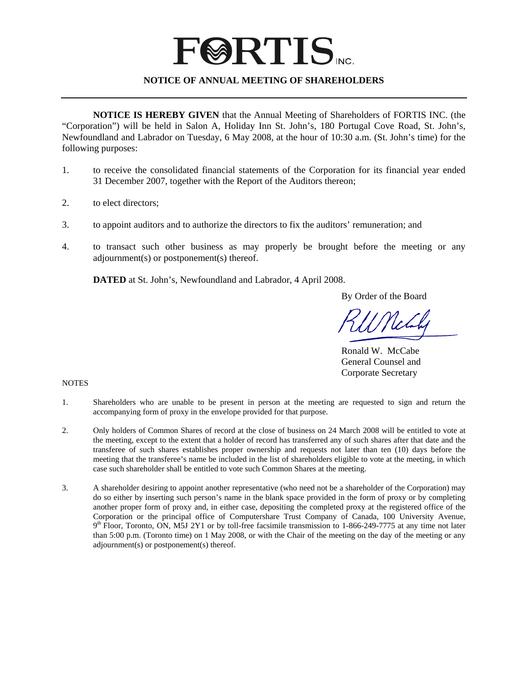### **FØRTIS**

#### **NOTICE OF ANNUAL MEETING OF SHAREHOLDERS**

**NOTICE IS HEREBY GIVEN** that the Annual Meeting of Shareholders of FORTIS INC. (the "Corporation") will be held in Salon A, Holiday Inn St. John's, 180 Portugal Cove Road, St. John's, Newfoundland and Labrador on Tuesday, 6 May 2008, at the hour of 10:30 a.m. (St. John's time) for the following purposes:

- 1. to receive the consolidated financial statements of the Corporation for its financial year ended 31 December 2007, together with the Report of the Auditors thereon;
- 2. to elect directors;
- 3. to appoint auditors and to authorize the directors to fix the auditors' remuneration; and
- 4. to transact such other business as may properly be brought before the meeting or any adjournment(s) or postponement(s) thereof.

**DATED** at St. John's, Newfoundland and Labrador, 4 April 2008.

By Order of the Board

 Ronald W. McCabe General Counsel and Corporate Secretary

NOTES

- 1. Shareholders who are unable to be present in person at the meeting are requested to sign and return the accompanying form of proxy in the envelope provided for that purpose.
- 2. Only holders of Common Shares of record at the close of business on 24 March 2008 will be entitled to vote at the meeting, except to the extent that a holder of record has transferred any of such shares after that date and the transferee of such shares establishes proper ownership and requests not later than ten (10) days before the meeting that the transferee's name be included in the list of shareholders eligible to vote at the meeting, in which case such shareholder shall be entitled to vote such Common Shares at the meeting.
- 3. A shareholder desiring to appoint another representative (who need not be a shareholder of the Corporation) may do so either by inserting such person's name in the blank space provided in the form of proxy or by completing another proper form of proxy and, in either case, depositing the completed proxy at the registered office of the Corporation or the principal office of Computershare Trust Company of Canada, 100 University Avenue,  $9<sup>th</sup>$  Floor, Toronto, ON, M5J 2Y1 or by toll-free facsimile transmission to 1-866-249-7775 at any time not later than 5:00 p.m. (Toronto time) on 1 May 2008, or with the Chair of the meeting on the day of the meeting or any adjournment(s) or postponement(s) thereof.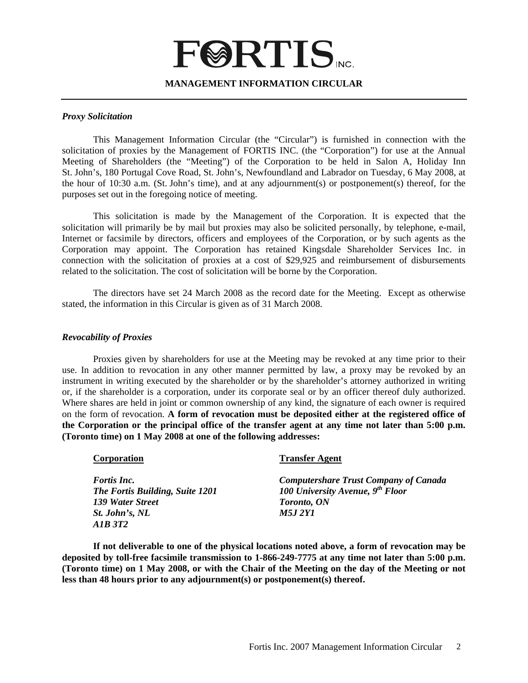## **FØRTIS**

#### **MANAGEMENT INFORMATION CIRCULAR**

#### *Proxy Solicitation*

This Management Information Circular (the "Circular") is furnished in connection with the solicitation of proxies by the Management of FORTIS INC. (the "Corporation") for use at the Annual Meeting of Shareholders (the "Meeting") of the Corporation to be held in Salon A, Holiday Inn St. John's, 180 Portugal Cove Road, St. John's, Newfoundland and Labrador on Tuesday, 6 May 2008, at the hour of 10:30 a.m. (St. John's time), and at any adjournment(s) or postponement(s) thereof, for the purposes set out in the foregoing notice of meeting.

This solicitation is made by the Management of the Corporation. It is expected that the solicitation will primarily be by mail but proxies may also be solicited personally, by telephone, e-mail, Internet or facsimile by directors, officers and employees of the Corporation, or by such agents as the Corporation may appoint. The Corporation has retained Kingsdale Shareholder Services Inc. in connection with the solicitation of proxies at a cost of \$29,925 and reimbursement of disbursements related to the solicitation. The cost of solicitation will be borne by the Corporation.

The directors have set 24 March 2008 as the record date for the Meeting. Except as otherwise stated, the information in this Circular is given as of 31 March 2008.

#### *Revocability of Proxies*

 Proxies given by shareholders for use at the Meeting may be revoked at any time prior to their use. In addition to revocation in any other manner permitted by law, a proxy may be revoked by an instrument in writing executed by the shareholder or by the shareholder's attorney authorized in writing or, if the shareholder is a corporation, under its corporate seal or by an officer thereof duly authorized. Where shares are held in joint or common ownership of any kind, the signature of each owner is required on the form of revocation. **A form of revocation must be deposited either at the registered office of the Corporation or the principal office of the transfer agent at any time not later than 5:00 p.m. (Toronto time) on 1 May 2008 at one of the following addresses:**

| Corporation                     | <b>Transfer Agent</b>                        |
|---------------------------------|----------------------------------------------|
| <b>Fortis Inc.</b>              | <b>Computershare Trust Company of Canada</b> |
| The Fortis Building, Suite 1201 | 100 University Avenue, 9th Floor             |
| 139 Water Street                | <b>Toronto, ON</b>                           |
| St. John's, NL                  | <i>M5.I 2Y1</i>                              |
| A1B 3T2                         |                                              |

**If not deliverable to one of the physical locations noted above, a form of revocation may be deposited by toll-free facsimile transmission to 1-866-249-7775 at any time not later than 5:00 p.m. (Toronto time) on 1 May 2008, or with the Chair of the Meeting on the day of the Meeting or not less than 48 hours prior to any adjournment(s) or postponement(s) thereof.**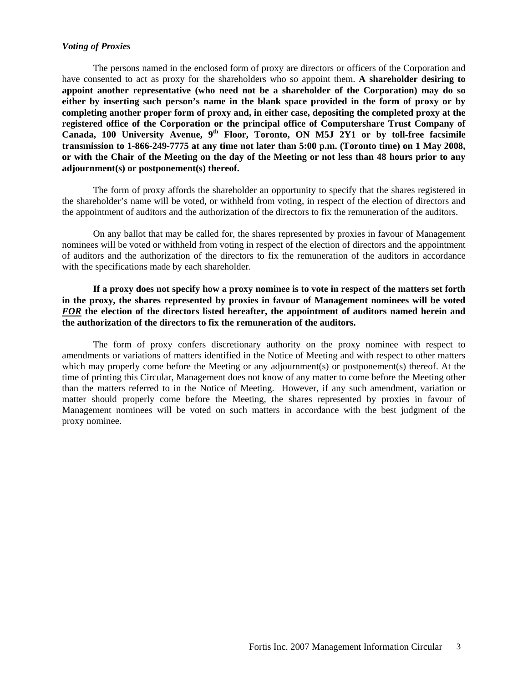#### *Voting of Proxies*

 The persons named in the enclosed form of proxy are directors or officers of the Corporation and have consented to act as proxy for the shareholders who so appoint them. **A shareholder desiring to appoint another representative (who need not be a shareholder of the Corporation) may do so either by inserting such person's name in the blank space provided in the form of proxy or by completing another proper form of proxy and, in either case, depositing the completed proxy at the registered office of the Corporation or the principal office of Computershare Trust Company of Canada, 100 University Avenue, 9th Floor, Toronto, ON M5J 2Y1 or by toll-free facsimile transmission to 1-866-249-7775 at any time not later than 5:00 p.m. (Toronto time) on 1 May 2008, or with the Chair of the Meeting on the day of the Meeting or not less than 48 hours prior to any adjournment(s) or postponement(s) thereof.**

 The form of proxy affords the shareholder an opportunity to specify that the shares registered in the shareholder's name will be voted, or withheld from voting, in respect of the election of directors and the appointment of auditors and the authorization of the directors to fix the remuneration of the auditors.

 On any ballot that may be called for, the shares represented by proxies in favour of Management nominees will be voted or withheld from voting in respect of the election of directors and the appointment of auditors and the authorization of the directors to fix the remuneration of the auditors in accordance with the specifications made by each shareholder.

**If a proxy does not specify how a proxy nominee is to vote in respect of the matters set forth in the proxy, the shares represented by proxies in favour of Management nominees will be voted**  *FOR* **the election of the directors listed hereafter, the appointment of auditors named herein and the authorization of the directors to fix the remuneration of the auditors.** 

 The form of proxy confers discretionary authority on the proxy nominee with respect to amendments or variations of matters identified in the Notice of Meeting and with respect to other matters which may properly come before the Meeting or any adjournment(s) or postponement(s) thereof. At the time of printing this Circular, Management does not know of any matter to come before the Meeting other than the matters referred to in the Notice of Meeting. However, if any such amendment, variation or matter should properly come before the Meeting, the shares represented by proxies in favour of Management nominees will be voted on such matters in accordance with the best judgment of the proxy nominee.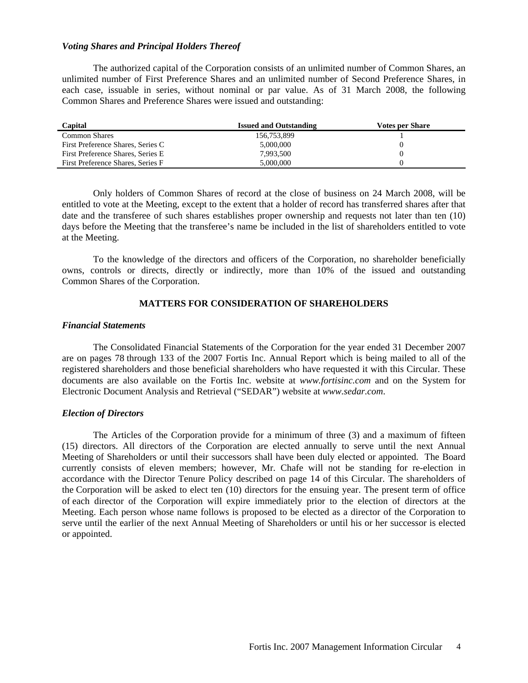#### *Voting Shares and Principal Holders Thereof*

 The authorized capital of the Corporation consists of an unlimited number of Common Shares, an unlimited number of First Preference Shares and an unlimited number of Second Preference Shares, in each case, issuable in series, without nominal or par value. As of 31 March 2008, the following Common Shares and Preference Shares were issued and outstanding:

| Capital                            | <b>Issued and Outstanding</b> | <b>Votes per Share</b> |
|------------------------------------|-------------------------------|------------------------|
| <b>Common Shares</b>               | 156,753,899                   |                        |
| First Preference Shares, Series C  | 5,000,000                     |                        |
| First Preference Shares, Series E. | 7,993,500                     |                        |
| First Preference Shares, Series F  | 5,000,000                     |                        |

Only holders of Common Shares of record at the close of business on 24 March 2008, will be entitled to vote at the Meeting, except to the extent that a holder of record has transferred shares after that date and the transferee of such shares establishes proper ownership and requests not later than ten (10) days before the Meeting that the transferee's name be included in the list of shareholders entitled to vote at the Meeting.

To the knowledge of the directors and officers of the Corporation, no shareholder beneficially owns, controls or directs, directly or indirectly, more than 10% of the issued and outstanding Common Shares of the Corporation.

#### **MATTERS FOR CONSIDERATION OF SHAREHOLDERS**

#### *Financial Statements*

 The Consolidated Financial Statements of the Corporation for the year ended 31 December 2007 are on pages 78 through 133 of the 2007 Fortis Inc. Annual Report which is being mailed to all of the registered shareholders and those beneficial shareholders who have requested it with this Circular. These documents are also available on the Fortis Inc. website at *www.fortisinc.com* and on the System for Electronic Document Analysis and Retrieval ("SEDAR") website at *www.sedar.com*.

#### *Election of Directors*

 The Articles of the Corporation provide for a minimum of three (3) and a maximum of fifteen (15) directors. All directors of the Corporation are elected annually to serve until the next Annual Meeting of Shareholders or until their successors shall have been duly elected or appointed. The Board currently consists of eleven members; however, Mr. Chafe will not be standing for re-election in accordance with the Director Tenure Policy described on page 14 of this Circular. The shareholders of the Corporation will be asked to elect ten (10) directors for the ensuing year. The present term of office of each director of the Corporation will expire immediately prior to the election of directors at the Meeting. Each person whose name follows is proposed to be elected as a director of the Corporation to serve until the earlier of the next Annual Meeting of Shareholders or until his or her successor is elected or appointed.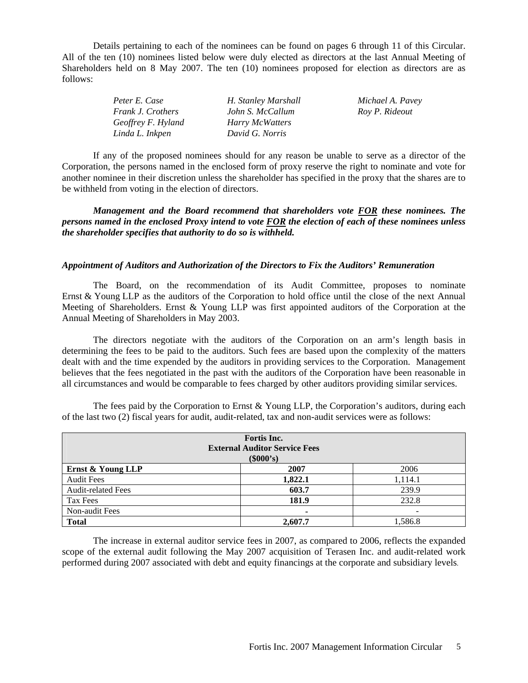Details pertaining to each of the nominees can be found on pages 6 through 11 of this Circular. All of the ten (10) nominees listed below were duly elected as directors at the last Annual Meeting of Shareholders held on 8 May 2007. The ten (10) nominees proposed for election as directors are as follows:

| Peter E. Case            | H. Stanley Marshall | Michael A. Pavey |
|--------------------------|---------------------|------------------|
| <i>Frank J. Crothers</i> | John S. McCallum    | Roy P. Rideout   |
| Geoffrey F. Hyland       | Harry McWatters     |                  |
| Linda L. Inkpen          | David G. Norris     |                  |

If any of the proposed nominees should for any reason be unable to serve as a director of the Corporation, the persons named in the enclosed form of proxy reserve the right to nominate and vote for another nominee in their discretion unless the shareholder has specified in the proxy that the shares are to be withheld from voting in the election of directors.

*Management and the Board recommend that shareholders vote FOR these nominees. The persons named in the enclosed Proxy intend to vote FOR the election of each of these nominees unless the shareholder specifies that authority to do so is withheld.* 

#### *Appointment of Auditors and Authorization of the Directors to Fix the Auditors' Remuneration*

 The Board, on the recommendation of its Audit Committee, proposes to nominate Ernst & Young LLP as the auditors of the Corporation to hold office until the close of the next Annual Meeting of Shareholders. Ernst & Young LLP was first appointed auditors of the Corporation at the Annual Meeting of Shareholders in May 2003.

 The directors negotiate with the auditors of the Corporation on an arm's length basis in determining the fees to be paid to the auditors. Such fees are based upon the complexity of the matters dealt with and the time expended by the auditors in providing services to the Corporation. Management believes that the fees negotiated in the past with the auditors of the Corporation have been reasonable in all circumstances and would be comparable to fees charged by other auditors providing similar services.

| Fortis Inc.<br><b>External Auditor Service Fees</b><br>(\$000's) |         |         |  |  |
|------------------------------------------------------------------|---------|---------|--|--|
| Ernst & Young LLP                                                | 2007    | 2006    |  |  |
| <b>Audit Fees</b>                                                | 1,822.1 | 1,114.1 |  |  |
| <b>Audit-related Fees</b>                                        | 603.7   | 239.9   |  |  |
| Tax Fees                                                         | 181.9   | 232.8   |  |  |
| Non-audit Fees                                                   | ۰       |         |  |  |
| <b>Total</b>                                                     | 2,607.7 | 1,586.8 |  |  |

The fees paid by the Corporation to Ernst  $\&$  Young LLP, the Corporation's auditors, during each of the last two (2) fiscal years for audit, audit-related, tax and non-audit services were as follows:

The increase in external auditor service fees in 2007, as compared to 2006, reflects the expanded scope of the external audit following the May 2007 acquisition of Terasen Inc. and audit-related work performed during 2007 associated with debt and equity financings at the corporate and subsidiary levels.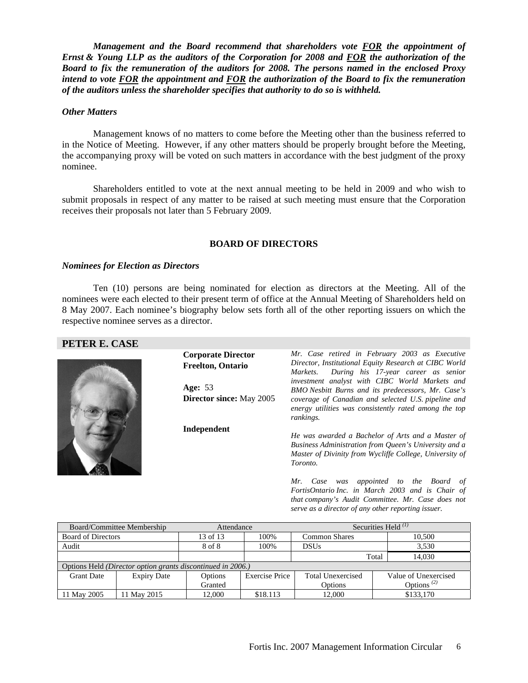*Management and the Board recommend that shareholders vote FOR the appointment of Ernst & Young LLP as the auditors of the Corporation for 2008 and FOR the authorization of the Board to fix the remuneration of the auditors for 2008. The persons named in the enclosed Proxy intend to vote FOR the appointment and FOR the authorization of the Board to fix the remuneration of the auditors unless the shareholder specifies that authority to do so is withheld.* 

#### *Other Matters*

 Management knows of no matters to come before the Meeting other than the business referred to in the Notice of Meeting. However, if any other matters should be properly brought before the Meeting, the accompanying proxy will be voted on such matters in accordance with the best judgment of the proxy nominee.

Shareholders entitled to vote at the next annual meeting to be held in 2009 and who wish to submit proposals in respect of any matter to be raised at such meeting must ensure that the Corporation receives their proposals not later than 5 February 2009.

#### **BOARD OF DIRECTORS**

#### *Nominees for Election as Directors*

Ten (10) persons are being nominated for election as directors at the Meeting. All of the nominees were each elected to their present term of office at the Annual Meeting of Shareholders held on 8 May 2007. Each nominee's biography below sets forth all of the other reporting issuers on which the respective nominee serves as a director.

| PETER E. CASE |  |
|---------------|--|
|---------------|--|



| <b>Corporate Director</b>       | Mr. Case retired in February 2003 as Executive                                                                                                                                    |
|---------------------------------|-----------------------------------------------------------------------------------------------------------------------------------------------------------------------------------|
| <b>Freelton, Ontario</b>        | Director, Institutional Equity Research at CIBC World<br>During his 17-year career as senior<br>Markets.<br>investment analyst with CIBC World Markets and                        |
| <b>Age: 53</b>                  | BMO Nesbitt Burns and its predecessors, Mr. Case's                                                                                                                                |
| <b>Director since:</b> May 2005 | coverage of Canadian and selected U.S. pipeline and<br>energy utilities was consistently rated among the top<br>rankings.                                                         |
| Independent                     | He was awarded a Bachelor of Arts and a Master of<br>Business Administration from Queen's University and a<br>Master of Divinity from Wycliffe College, University of<br>Toronto. |
|                                 | Case was appointed to the Board of<br>Mr.<br>FortisOntario Inc. in March 2003 and is Chair of<br>that company's Audit Committee. Mr. Case does not                                |

|                                                                    | Board/Committee Membership |          | Attendance     | Securities Held $^{(1)}$ |                                     |
|--------------------------------------------------------------------|----------------------------|----------|----------------|--------------------------|-------------------------------------|
| <b>Board of Directors</b>                                          |                            | 13 of 13 | 100%           | <b>Common Shares</b>     | 10.500                              |
| Audit                                                              |                            | 8 of 8   | 100%           | <b>DSUs</b>              | 3.530                               |
|                                                                    |                            |          |                |                          | 14.030<br>Total                     |
| Options Held <i>(Director option grants discontinued in 2006.)</i> |                            |          |                |                          |                                     |
| <b>Grant Date</b>                                                  | <b>Expiry Date</b>         | Options  | Exercise Price | Total Unexercised        | Value of Unexercised                |
|                                                                    |                            | Granted  |                | Options                  | Options <sup><math>(2)</math></sup> |
| 11 May 2005                                                        | 11 May 2015                | 12.000   | \$18.113       | 12.000                   | \$133,170                           |

*serve as a director of any other reporting issuer.*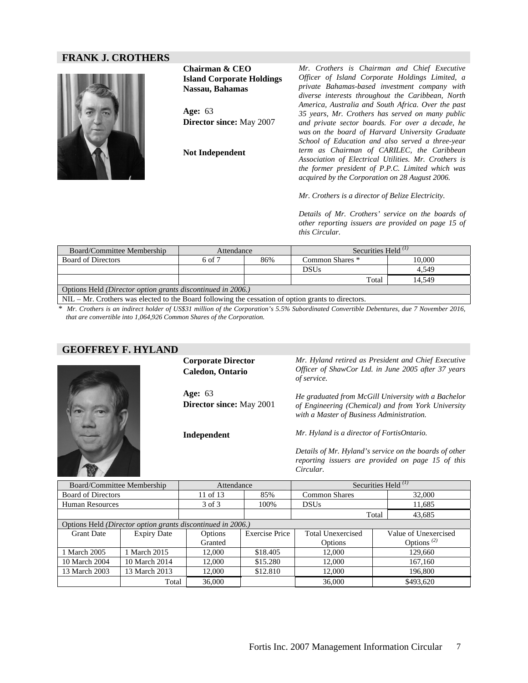#### **FRANK J. CROTHERS**



**Chairman & CEO Island Corporate Holdings Nassau, Bahamas Age:** 63 **Director since:** May 2007 **Not Independent** 

*Mr. Crothers is Chairman and Chief Executive Officer of Island Corporate Holdings Limited, a private Bahamas-based investment company with diverse interests throughout the Caribbean, North America, Australia and South Africa. Over the past 35 years, Mr. Crothers has served on many public and private sector boards. For over a decade, he was on the board of Harvard University Graduate School of Education and also served a three-year term as Chairman of CARILEC, the Caribbean Association of Electrical Utilities. Mr. Crothers is the former president of P.P.C. Limited which was acquired by the Corporation on 28 August 2006.* 

*Mr. Crothers is a director of Belize Electricity.* 

*Details of Mr. Crothers' service on the boards of other reporting issuers are provided on page 15 of this Circular.* 

| Board/Committee Membership                                         | Attendance |     | Securities Held $(1)$ |        |
|--------------------------------------------------------------------|------------|-----|-----------------------|--------|
| <b>Board of Directors</b>                                          | 6 of 7     | 86% | Common Shares *       | 10.000 |
|                                                                    |            |     | DSUs                  | 4.549  |
|                                                                    |            |     | Total                 | 14.549 |
| Options Held <i>(Director option grants discontinued in 2006.)</i> |            |     |                       |        |

NIL – Mr. Crothers was elected to the Board following the cessation of option grants to directors.

*\* Mr. Crothers is an indirect holder of US\$31 million of the Corporation's 5.5% Subordinated Convertible Debentures, due 7 November 2016, that are convertible into 1,064,926 Common Shares of the Corporation.*

#### **GEOFFREY F. HYLAND**



**Corporate Director Caledon, Ontario** 

**Age:** 63 **Director since:** May 2001

**Independent** 

*Mr. Hyland retired as President and Chief Executive Officer of ShawCor Ltd. in June 2005 after 37 years of service.* 

*He graduated from McGill University with a Bachelor of Engineering (Chemical) and from York University with a Master of Business Administration.* 

*Mr. Hyland is a director of FortisOntario.* 

*Details of Mr. Hyland's service on the boards of other reporting issuers are provided on page 15 of this Circular.* 

| Board/Committee Membership |                                                             | Attendance |                       | Securities Held $^{(1)}$ |                                     |
|----------------------------|-------------------------------------------------------------|------------|-----------------------|--------------------------|-------------------------------------|
| <b>Board of Directors</b>  |                                                             | 11 of 13   | 85%                   | <b>Common Shares</b>     | 32,000                              |
| <b>Human Resources</b>     |                                                             | 3 of 3     | 100%                  | <b>DSUs</b>              | 11,685                              |
|                            |                                                             |            |                       |                          | Total<br>43,685                     |
|                            | Options Held (Director option grants discontinued in 2006.) |            |                       |                          |                                     |
| <b>Grant Date</b>          | <b>Expiry Date</b>                                          | Options    | <b>Exercise Price</b> | Total Unexercised        | Value of Unexercised                |
|                            |                                                             | Granted    |                       | Options                  | Options <sup><math>(2)</math></sup> |
| 1 March 2005               | 1 March 2015                                                | 12,000     | \$18.405              | 12,000                   | 129,660                             |
| 10 March 2004              | 10 March 2014                                               | 12.000     | \$15.280              | 12,000                   | 167,160                             |
| 13 March 2003              | 13 March 2013                                               | 12.000     | \$12.810              | 12,000                   | 196.800                             |
|                            | Total                                                       | 36,000     |                       | 36,000                   | \$493,620                           |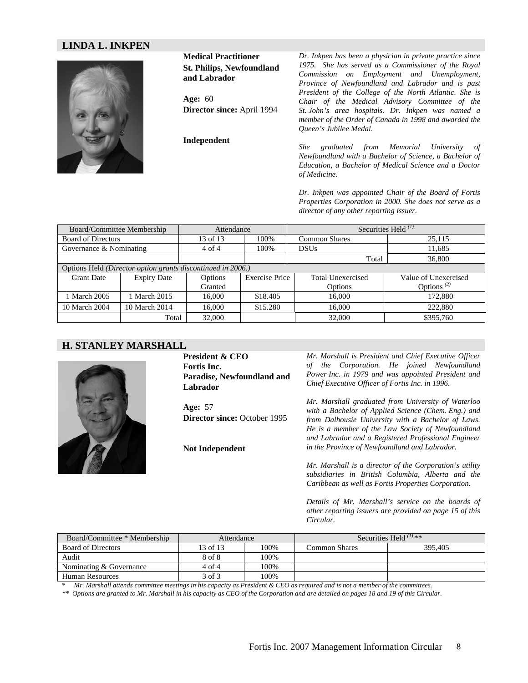#### **LINDA L. INKPEN**



**Medical Practitioner St. Philips, Newfoundland and Labrador** 

**Age:** 60 **Director since:** April 1994

**Independent** 

*Dr. Inkpen has been a physician in private practice since 1975. She has served as a Commissioner of the Royal Commission on Employment and Unemployment, Province of Newfoundland and Labrador and is past President of the College of the North Atlantic. She is Chair of the Medical Advisory Committee of the St. John's area hospitals. Dr. Inkpen was named a member of the Order of Canada in 1998 and awarded the Queen's Jubilee Medal.* 

*She graduated from Memorial University of Newfoundland with a Bachelor of Science, a Bachelor of Education, a Bachelor of Medical Science and a Doctor of Medicine.* 

*Dr. Inkpen was appointed Chair of the Board of Fortis Properties Corporation in 2000. She does not serve as a director of any other reporting issuer.* 

| Board/Committee Membership |                                                             | Attendance |                       | Securities Held $^{(1)}$ |                                     |
|----------------------------|-------------------------------------------------------------|------------|-----------------------|--------------------------|-------------------------------------|
| <b>Board of Directors</b>  |                                                             | 13 of 13   | 100\%                 | <b>Common Shares</b>     | 25,115                              |
| Governance & Nominating    |                                                             | 4 of 4     | 100\%                 | <b>DSUs</b>              | 11.685                              |
|                            |                                                             |            |                       | Total                    | 36,800                              |
|                            | Options Held (Director option grants discontinued in 2006.) |            |                       |                          |                                     |
| <b>Grant Date</b>          | <b>Expiry Date</b>                                          | Options    | <b>Exercise Price</b> | <b>Total Unexercised</b> | Value of Unexercised                |
|                            |                                                             | Granted    |                       | Options                  | Options <sup><math>(2)</math></sup> |
| 1 March 2005               | <b>March 2015</b>                                           | 16,000     | \$18.405              | 16,000                   | 172.880                             |
| 10 March 2004              | 10 March 2014                                               | 16,000     | \$15.280              | 16,000                   | 222,880                             |
|                            | Total                                                       | 32,000     |                       | 32,000                   | \$395,760                           |

#### **H. STANLEY MARSHALL**



**President & CEO Fortis Inc. Paradise, Newfoundland and Labrador**

**Age:** 57 **Director since:** October 1995

**Not Independent** 

*Mr. Marshall is President and Chief Executive Officer of the Corporation. He joined Newfoundland Power Inc. in 1979 and was appointed President and Chief Executive Officer of Fortis Inc. in 1996.* 

*Mr. Marshall graduated from University of Waterloo with a Bachelor of Applied Science (Chem. Eng.) and from Dalhousie University with a Bachelor of Laws. He is a member of the Law Society of Newfoundland and Labrador and a Registered Professional Engineer in the Province of Newfoundland and Labrador.* 

*Mr. Marshall is a director of the Corporation's utility subsidiaries in British Columbia, Alberta and the Caribbean as well as Fortis Properties Corporation.* 

*Details of Mr. Marshall's service on the boards of other reporting issuers are provided on page 15 of this Circular.* 

| Board/Committee * Membership | Attendance |       |               | Securities Held $^{(1)}$ ** |
|------------------------------|------------|-------|---------------|-----------------------------|
| <b>Board of Directors</b>    | 13 of 13   | 100%  | Common Shares | 395,405                     |
| Audit                        | 8 of 8     | 100\% |               |                             |
| Nominating & Governance      | 4 of 4     | 100%  |               |                             |
| Human Resources              | 3 of 3     | 100%  |               |                             |

\* *Mr. Marshall attends committee meetings in his capacity as President & CEO as required and is not a member of the committees.* 

*\*\* Options are granted to Mr. Marshall in his capacity as CEO of the Corporation and are detailed on pages 18 and 19 of this Circular.*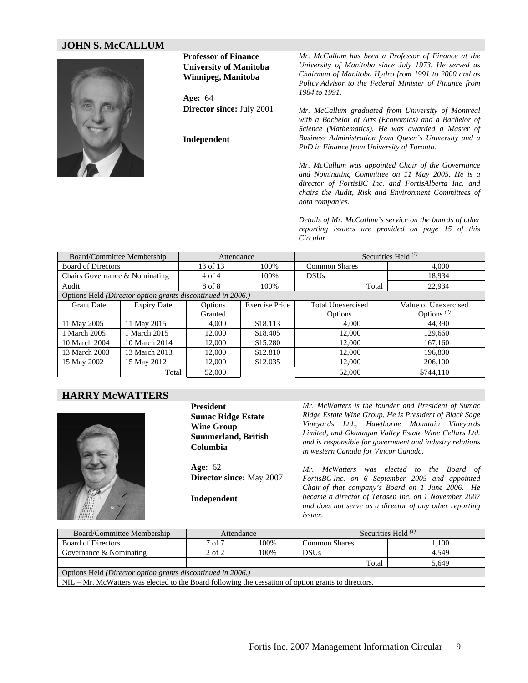#### **JOHN S. McCALLUM**



**Professor of Finance University of Manitoba Winnipeg, Manitoba** 

**Age:** 64 **Director since:** July 2001

**Independent** 

*Mr. McCallum has been a Professor of Finance at the University of Manitoba since July 1973. He served as Chairman of Manitoba Hydro from 1991 to 2000 and as Policy Advisor to the Federal Minister of Finance from 1984 to 1991.* 

*Mr. McCallum graduated from University of Montreal with a Bachelor of Arts (Economics) and a Bachelor of Science (Mathematics). He was awarded a Master of Business Administration from Queen's University and a PhD in Finance from University of Toronto.* 

*Mr. McCallum was appointed Chair of the Governance and Nominating Committee on 11 May 2005. He is a director of FortisBC Inc. and FortisAlberta Inc. and chairs the Audit, Risk and Environment Committees of both companies.* 

*Details of Mr. McCallum's service on the boards of other reporting issuers are provided on page 15 of this Circular.*

| Board/Committee Membership     |                                                             | Attendance |                       | Securities Held $^{(1)}$ |                                     |  |
|--------------------------------|-------------------------------------------------------------|------------|-----------------------|--------------------------|-------------------------------------|--|
| <b>Board of Directors</b>      |                                                             | 13 of 13   | 100%                  | <b>Common Shares</b>     | 4.000                               |  |
| Chairs Governance & Nominating |                                                             | 4 of 4     | 100%                  | <b>DSUs</b>              | 18.934                              |  |
| Audit                          |                                                             | 8 of 8     | 100%                  | Total                    | 22,934                              |  |
|                                | Options Held (Director option grants discontinued in 2006.) |            |                       |                          |                                     |  |
| <b>Grant Date</b>              | <b>Expiry Date</b>                                          | Options    | <b>Exercise Price</b> | <b>Total Unexercised</b> | Value of Unexercised                |  |
|                                |                                                             | Granted    |                       | <b>Options</b>           | Options <sup><math>(2)</math></sup> |  |
| 11 May 2005                    | 11 May 2015                                                 | 4.000      | \$18.113              | 4.000                    | 44.390                              |  |
| 1 March 2005                   | 1 March 2015                                                | 12.000     | \$18.405              | 12,000                   | 129,660                             |  |
| 10 March 2004                  | 10 March 2014                                               | 12,000     | \$15.280              | 12,000                   | 167,160                             |  |
| 13 March 2003                  | 13 March 2013                                               | 12,000     | \$12.810              | 12,000                   | 196,800                             |  |
| 15 May 2002                    | 15 May 2012                                                 | 12,000     | \$12.035              | 12,000                   | 206,100                             |  |
|                                | Total                                                       | 52,000     |                       | 52,000                   | \$744,110                           |  |

#### **HARRY McWATTERS**



**President Sumac Ridge Estate Wine Group Summerland, British Columbia**

**Age:** 62 **Director since:** May 2007

**Independent**

*Mr. McWatters is the founder and President of Sumac Ridge Estate Wine Group. He is President of Black Sage Vineyards Ltd., Hawthorne Mountain Vineyards Limited, and Okanagan Valley Estate Wine Cellars Ltd. and is responsible for government and industry relations in western Canada for Vincor Canada.* 

*Mr. McWatters was elected to the Board of FortisBC Inc. on 6 September 2005 and appointed Chair of that company's Board on 1 June 2006. He became a director of Terasen Inc. on 1 November 2007 and does not serve as a director of any other reporting issuer*.

| Board/Committee Membership                                                                            | Attendance |      | Securities Held $^{(1)}$ |       |  |  |  |
|-------------------------------------------------------------------------------------------------------|------------|------|--------------------------|-------|--|--|--|
| <b>Board of Directors</b>                                                                             | 7 of 7     | 100% | <b>Common Shares</b>     | 1.100 |  |  |  |
| Governance & Nominating                                                                               | $2$ of $2$ | 100% | <b>DSUs</b>              | 4.549 |  |  |  |
|                                                                                                       |            |      | Total                    | 5.649 |  |  |  |
| Options Held (Director option grants discontinued in 2006.)                                           |            |      |                          |       |  |  |  |
| $NIL - Mr.$ McWatters was elected to the Board following the cessation of option grants to directors. |            |      |                          |       |  |  |  |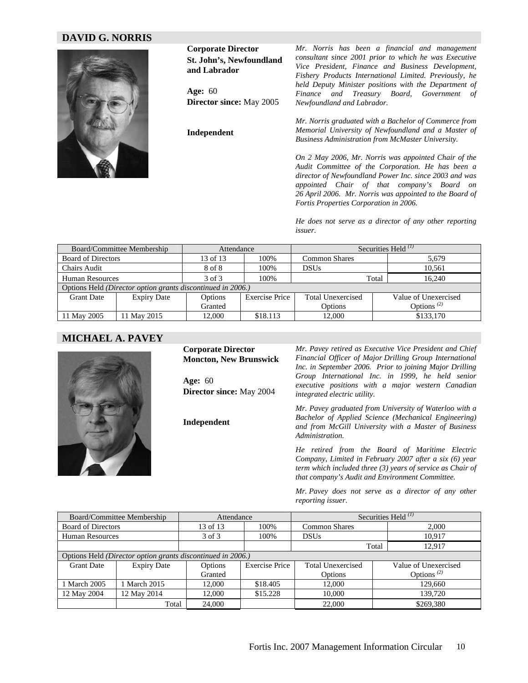#### **DAVID G. NORRIS**



**Corporate Director St. John's, Newfoundland and Labrador** 

**Age:** 60 **Director since:** May 2005

**Independent** 

*Mr. Norris has been a financial and management consultant since 2001 prior to which he was Executive Vice President, Finance and Business Development, Fishery Products International Limited. Previously, he held Deputy Minister positions with the Department of Finance and Treasury Board, Government of Newfoundland and Labrador.* 

*Mr. Norris graduated with a Bachelor of Commerce from Memorial University of Newfoundland and a Master of Business Administration from McMaster University.* 

*On 2 May 2006, Mr. Norris was appointed Chair of the Audit Committee of the Corporation. He has been a director of Newfoundland Power Inc. since 2003 and was appointed Chair of that company's Board on 26 April 2006. Mr. Norris was appointed to the Board of Fortis Properties Corporation in 2006.* 

*He does not serve as a director of any other reporting issuer*.

|                           | Board/Committee Membership                                  | Attendance |                       | Securities Held <sup>(1)</sup> |                                     |  |  |
|---------------------------|-------------------------------------------------------------|------------|-----------------------|--------------------------------|-------------------------------------|--|--|
| <b>Board of Directors</b> |                                                             | 13 of $13$ | 100%                  | <b>Common Shares</b>           | 5.679                               |  |  |
| <b>Chairs Audit</b>       |                                                             | 8 of 8     | 100%                  | <b>DSUs</b>                    | 10.561                              |  |  |
| Human Resources           |                                                             | 3 of 3     | 100%                  |                                | 16.240<br>Total                     |  |  |
|                           | Options Held (Director option grants discontinued in 2006.) |            |                       |                                |                                     |  |  |
| <b>Grant Date</b>         | <b>Expiry Date</b>                                          | Options    | <b>Exercise Price</b> | Total Unexercised              | Value of Unexercised                |  |  |
|                           |                                                             | Granted    |                       | Options                        | Options <sup><math>(2)</math></sup> |  |  |
| 11 May 2005               | 11 May 2015                                                 | 12.000     | \$18.113              | 12,000                         | \$133,170                           |  |  |

#### **MICHAEL A. PAVEY**



**Corporate Director Moncton, New Brunswick** 

**Age:** 60 **Director since:** May 2004

**Independent** 

*Mr. Pavey retired as Executive Vice President and Chief Financial Officer of Major Drilling Group International Inc. in September 2006. Prior to joining Major Drilling Group International Inc. in 1999, he held senior executive positions with a major western Canadian integrated electric utility.* 

*Mr. Pavey graduated from University of Waterloo with a Bachelor of Applied Science (Mechanical Engineering) and from McGill University with a Master of Business Administration.* 

*He retired from the Board of Maritime Electric Company, Limited in February 2007 after a six (6) year term which included three (3) years of service as Chair of that company's Audit and Environment Committee.* 

*Mr. Pavey does not serve as a director of any other reporting issuer*.

|                                                             | Board/Committee Membership | Attendance |                       | Securities Held $^{(1)}$ |                                     |  |  |  |
|-------------------------------------------------------------|----------------------------|------------|-----------------------|--------------------------|-------------------------------------|--|--|--|
| <b>Board of Directors</b>                                   |                            | 13 of 13   | 100%                  | <b>Common Shares</b>     | 2.000                               |  |  |  |
| <b>Human Resources</b>                                      |                            | 3 of 3     | 100%                  | <b>DSUs</b>              | 10.917                              |  |  |  |
|                                                             |                            |            |                       |                          | 12,917<br>Total                     |  |  |  |
| Options Held (Director option grants discontinued in 2006.) |                            |            |                       |                          |                                     |  |  |  |
| <b>Grant Date</b>                                           | <b>Expiry Date</b>         | Options    | <b>Exercise Price</b> | <b>Total Unexercised</b> | Value of Unexercised                |  |  |  |
|                                                             |                            | Granted    |                       | Options                  | Options <sup><math>(2)</math></sup> |  |  |  |
| 1 March 2005                                                | 1 March 2015               | 12.000     | \$18.405              | 12,000                   | 129,660                             |  |  |  |
| 12 May 2004                                                 | 12 May 2014                | 12,000     | \$15.228              | 10.000                   | 139,720                             |  |  |  |
|                                                             | Total                      | 24,000     |                       | 22,000                   | \$269,380                           |  |  |  |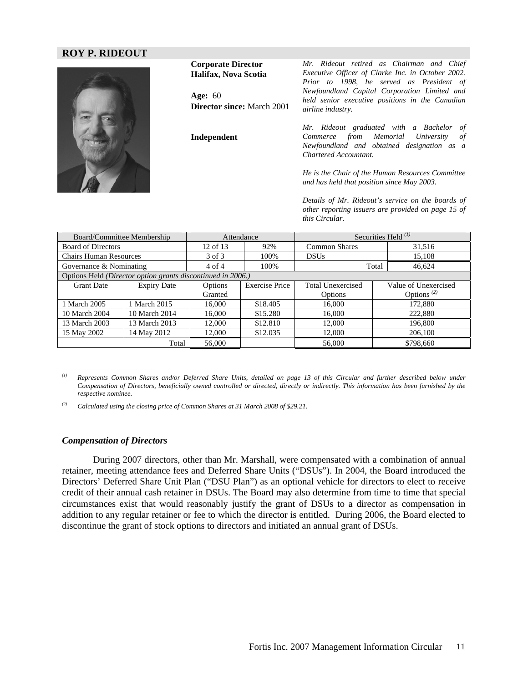#### **ROY P. RIDEOUT**



**Corporate Director Halifax, Nova Scotia Age:** 60 **Director since:** March 2001 **Independent**  *Mr. Rideout retired as Chairman and Chief Executive Officer of Clarke Inc. in October 2002. Prior to 1998, he served as President of Newfoundland Capital Corporation Limited and held senior executive positions in the Canadian airline industry. Mr. Rideout graduated with a Bachelor of* 

*Commerce from Memorial University of Newfoundland and obtained designation as a Chartered Accountant.* 

*He is the Chair of the Human Resources Committee and has held that position since May 2003.* 

*Details of Mr. Rideout's service on the boards of other reporting issuers are provided on page 15 of this Circular.* 

| Board/Committee Membership                                  |                    | Attendance   |                       | Securities Held $^{(1)}$ |                                     |  |
|-------------------------------------------------------------|--------------------|--------------|-----------------------|--------------------------|-------------------------------------|--|
| <b>Board of Directors</b>                                   |                    | $12$ of $13$ | 92%                   | <b>Common Shares</b>     | 31,516                              |  |
| <b>Chairs Human Resources</b>                               |                    | 3 of 3       | 100%                  | <b>DSUs</b>              | 15,108                              |  |
| Governance & Nominating                                     |                    | $4$ of $4$   | 100%                  |                          | 46,624<br>Total                     |  |
| Options Held (Director option grants discontinued in 2006.) |                    |              |                       |                          |                                     |  |
| <b>Grant Date</b>                                           | <b>Expiry Date</b> | Options      | <b>Exercise Price</b> | <b>Total Unexercised</b> | Value of Unexercised                |  |
|                                                             |                    | Granted      |                       | Options                  | Options <sup><math>(2)</math></sup> |  |
| 1 March 2005                                                | March 2015         | 16.000       | \$18.405              | 16.000                   | 172,880                             |  |
| 10 March 2004                                               | 10 March 2014      | 16.000       | \$15.280              | 16,000                   | 222,880                             |  |
| 13 March 2003                                               | 13 March 2013      | 12.000       | \$12.810              | 12,000                   | 196,800                             |  |
| 15 May 2002                                                 | 14 May 2012        | 12,000       | \$12.035              | 12,000                   | 206,100                             |  |
|                                                             | Total              | 56,000       |                       | 56,000                   | \$798,660                           |  |

*<sup>(1)</sup> Represents Common Shares and/or Deferred Share Units, detailed on page 13 of this Circular and further described below under Compensation of Directors, beneficially owned controlled or directed, directly or indirectly. This information has been furnished by the respective nominee.* 

*(2) Calculated using the closing price of Common Shares at 31 March 2008 of \$29.21.* 

#### *Compensation of Directors*

i<br>S

During 2007 directors, other than Mr. Marshall, were compensated with a combination of annual retainer, meeting attendance fees and Deferred Share Units ("DSUs"). In 2004, the Board introduced the Directors' Deferred Share Unit Plan ("DSU Plan") as an optional vehicle for directors to elect to receive credit of their annual cash retainer in DSUs. The Board may also determine from time to time that special circumstances exist that would reasonably justify the grant of DSUs to a director as compensation in addition to any regular retainer or fee to which the director is entitled. During 2006, the Board elected to discontinue the grant of stock options to directors and initiated an annual grant of DSUs.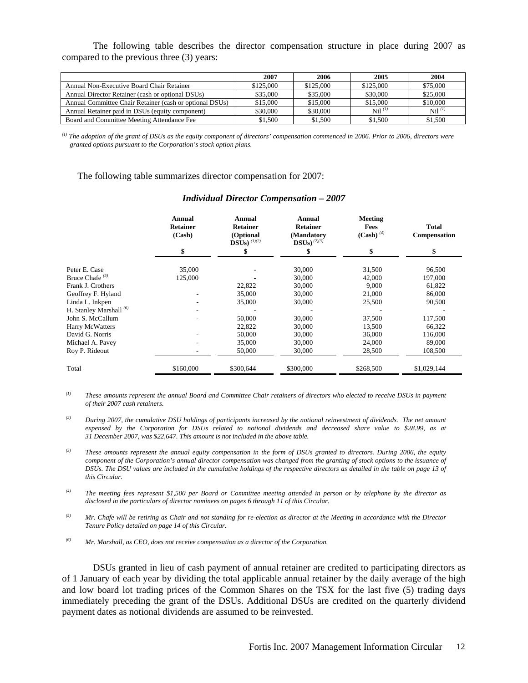The following table describes the director compensation structure in place during 2007 as compared to the previous three (3) years:

|                                                         | 2007      | 2006      | 2005        | 2004                 |
|---------------------------------------------------------|-----------|-----------|-------------|----------------------|
| Annual Non-Executive Board Chair Retainer               | \$125,000 | \$125,000 | \$125,000   | \$75,000             |
| Annual Director Retainer (cash or optional DSUs)        | \$35,000  | \$35,000  | \$30,000    | \$25,000             |
| Annual Committee Chair Retainer (cash or optional DSUs) | \$15,000  | \$15,000  | \$15,000    | \$10,000             |
| Annual Retainer paid in DSUs (equity component)         | \$30,000  | \$30,000  | $Nil^{(l)}$ | $\mathrm{Nil}^{(l)}$ |
| Board and Committee Meeting Attendance Fee              | \$1.500   | \$1,500   | \$1,500     | \$1,500              |

*(1) The adoption of the grant of DSUs as the equity component of directors' compensation commenced in 2006. Prior to 2006, directors were granted options pursuant to the Corporation's stock option plans.* 

The following table summarizes director compensation for 2007:

|                                    | <b>Annual</b><br><b>Retainer</b><br>(Cash) | <b>Annual</b><br><b>Retainer</b><br>(Optional<br>DSUs) $^{(1)(2)}$ | <b>Annual</b><br><b>Retainer</b><br>(Mandatory<br>$DSUs)$ <sup>(2)(3)</sup> | Meeting<br>Fees<br>$(Cash)$ <sup>(4)</sup> | <b>Total</b><br>Compensation |
|------------------------------------|--------------------------------------------|--------------------------------------------------------------------|-----------------------------------------------------------------------------|--------------------------------------------|------------------------------|
|                                    | \$                                         |                                                                    |                                                                             | \$                                         | \$                           |
| Peter E. Case                      | 35,000                                     |                                                                    | 30,000                                                                      | 31,500                                     | 96,500                       |
| Bruce Chafe $(5)$                  | 125,000                                    |                                                                    | 30,000                                                                      | 42,000                                     | 197,000                      |
| Frank J. Crothers                  |                                            | 22,822                                                             | 30,000                                                                      | 9.000                                      | 61,822                       |
| Geoffrey F. Hyland                 |                                            | 35,000                                                             | 30,000                                                                      | 21,000                                     | 86,000                       |
| Linda L. Inkpen                    |                                            | 35,000                                                             | 30,000                                                                      | 25,500                                     | 90,500                       |
| H. Stanley Marshall <sup>(6)</sup> |                                            |                                                                    |                                                                             |                                            |                              |
| John S. McCallum                   |                                            | 50,000                                                             | 30,000                                                                      | 37,500                                     | 117,500                      |
| <b>Harry McWatters</b>             |                                            | 22,822                                                             | 30,000                                                                      | 13,500                                     | 66,322                       |
| David G. Norris                    |                                            | 50,000                                                             | 30,000                                                                      | 36,000                                     | 116,000                      |
| Michael A. Pavey                   |                                            | 35,000                                                             | 30,000                                                                      | 24,000                                     | 89,000                       |
| Roy P. Rideout                     |                                            | 50,000                                                             | 30,000                                                                      | 28,500                                     | 108,500                      |
| Total                              | \$160,000                                  | \$300,644                                                          | \$300,000                                                                   | \$268,500                                  | \$1,029,144                  |

#### *Individual Director Compensation – 2007*

*(1) These amounts represent the annual Board and Committee Chair retainers of directors who elected to receive DSUs in payment of their 2007 cash retainers.* 

*(2) During 2007, the cumulative DSU holdings of participants increased by the notional reinvestment of dividends. The net amount expensed by the Corporation for DSUs related to notional dividends and decreased share value to \$28.99, as at 31 December 2007, was \$22,647. This amount is not included in the above table.* 

*(3) These amounts represent the annual equity compensation in the form of DSUs granted to directors. During 2006, the equity component of the Corporation's annual director compensation was changed from the granting of stock options to the issuance of DSUs. The DSU values are included in the cumulative holdings of the respective directors as detailed in the table on page 13 of this Circular.* 

*(4) The meeting fees represent \$1,500 per Board or Committee meeting attended in person or by telephone by the director as disclosed in the particulars of director nominees on pages 6 through 11 of this Circular.* 

*(5) Mr. Chafe will be retiring as Chair and not standing for re-election as director at the Meeting in accordance with the Director Tenure Policy detailed on page 14 of this Circular.* 

*(6) Mr. Marshall, as CEO, does not receive compensation as a director of the Corporation.* 

DSUs granted in lieu of cash payment of annual retainer are credited to participating directors as of 1 January of each year by dividing the total applicable annual retainer by the daily average of the high and low board lot trading prices of the Common Shares on the TSX for the last five (5) trading days immediately preceding the grant of the DSUs. Additional DSUs are credited on the quarterly dividend payment dates as notional dividends are assumed to be reinvested.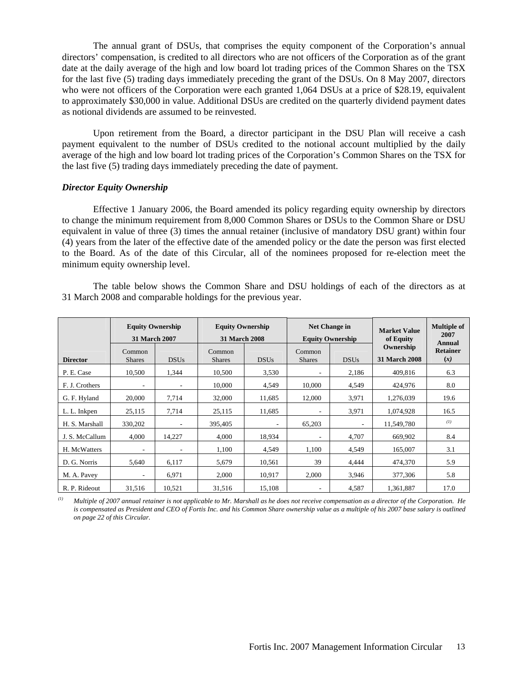The annual grant of DSUs, that comprises the equity component of the Corporation's annual directors' compensation, is credited to all directors who are not officers of the Corporation as of the grant date at the daily average of the high and low board lot trading prices of the Common Shares on the TSX for the last five (5) trading days immediately preceding the grant of the DSUs. On 8 May 2007, directors who were not officers of the Corporation were each granted 1,064 DSUs at a price of \$28.19, equivalent to approximately \$30,000 in value. Additional DSUs are credited on the quarterly dividend payment dates as notional dividends are assumed to be reinvested.

Upon retirement from the Board, a director participant in the DSU Plan will receive a cash payment equivalent to the number of DSUs credited to the notional account multiplied by the daily average of the high and low board lot trading prices of the Corporation's Common Shares on the TSX for the last five (5) trading days immediately preceding the date of payment.

#### *Director Equity Ownership*

 Effective 1 January 2006, the Board amended its policy regarding equity ownership by directors to change the minimum requirement from 8,000 Common Shares or DSUs to the Common Share or DSU equivalent in value of three (3) times the annual retainer (inclusive of mandatory DSU grant) within four (4) years from the later of the effective date of the amended policy or the date the person was first elected to the Board. As of the date of this Circular, all of the nominees proposed for re-election meet the minimum equity ownership level.

The table below shows the Common Share and DSU holdings of each of the directors as at 31 March 2008 and comparable holdings for the previous year.

|                 | <b>Equity Ownership</b><br><b>31 March 2007</b> |                          | <b>Equity Ownership</b><br><b>Net Change in</b><br><b>31 March 2008</b><br><b>Equity Ownership</b> |             | <b>Market Value</b><br>of Equity | <b>Multiple of</b><br>2007<br>Annual |                                   |                        |
|-----------------|-------------------------------------------------|--------------------------|----------------------------------------------------------------------------------------------------|-------------|----------------------------------|--------------------------------------|-----------------------------------|------------------------|
| <b>Director</b> | Common<br><b>Shares</b>                         | <b>DSUs</b>              | Common<br><b>Shares</b>                                                                            | <b>DSUs</b> | Common<br><b>Shares</b>          | <b>DSUs</b>                          | Ownership<br><b>31 March 2008</b> | <b>Retainer</b><br>(x) |
| P. E. Case      | 10,500                                          | 1,344                    | 10,500                                                                                             | 3,530       | $\overline{\phantom{a}}$         | 2,186                                | 409,816                           | 6.3                    |
| F. J. Crothers  | ٠                                               | $\overline{\phantom{a}}$ | 10.000                                                                                             | 4,549       | 10.000                           | 4,549                                | 424,976                           | 8.0                    |
| G. F. Hyland    | 20,000                                          | 7,714                    | 32,000                                                                                             | 11,685      | 12,000                           | 3,971                                | 1,276,039                         | 19.6                   |
| L. L. Inkpen    | 25,115                                          | 7,714                    | 25,115                                                                                             | 11.685      | $\overline{\phantom{a}}$         | 3,971                                | 1,074,928                         | 16.5                   |
| H. S. Marshall  | 330,202                                         | ٠                        | 395,405                                                                                            | ۰.          | 65,203                           | ۰                                    | 11,549,780                        | (I)                    |
| J. S. McCallum  | 4,000                                           | 14,227                   | 4,000                                                                                              | 18,934      | $\overline{\phantom{a}}$         | 4,707                                | 669,902                           | 8.4                    |
| H. McWatters    | ٠                                               |                          | 1,100                                                                                              | 4,549       | 1,100                            | 4,549                                | 165,007                           | 3.1                    |
| D. G. Norris    | 5,640                                           | 6,117                    | 5,679                                                                                              | 10,561      | 39                               | 4,444                                | 474,370                           | 5.9                    |
| M. A. Pavey     | ۰                                               | 6,971                    | 2,000                                                                                              | 10,917      | 2,000                            | 3,946                                | 377,306                           | 5.8                    |
| R. P. Rideout   | 31,516                                          | 10,521                   | 31,516                                                                                             | 15,108      | $\overline{\phantom{a}}$         | 4,587                                | 1,361,887                         | 17.0                   |

*(1) Multiple of 2007 annual retainer is not applicable to Mr. Marshall as he does not receive compensation as a director of the Corporation. He is compensated as President and CEO of Fortis Inc. and his Common Share ownership value as a multiple of his 2007 base salary is outlined on page 22 of this Circular.*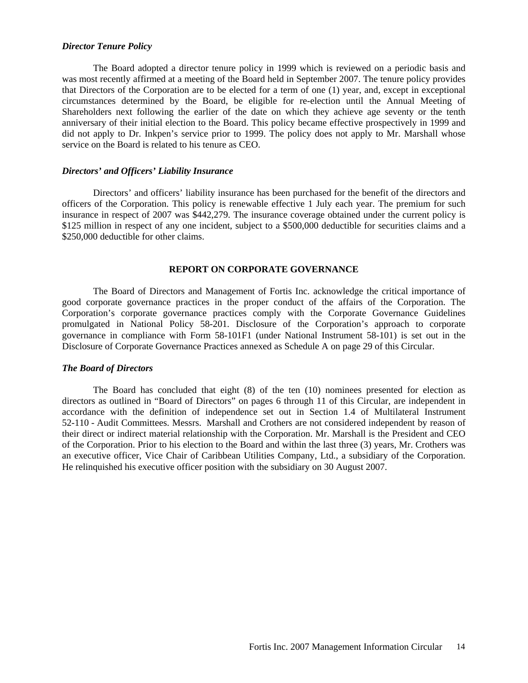#### *Director Tenure Policy*

The Board adopted a director tenure policy in 1999 which is reviewed on a periodic basis and was most recently affirmed at a meeting of the Board held in September 2007. The tenure policy provides that Directors of the Corporation are to be elected for a term of one (1) year, and, except in exceptional circumstances determined by the Board, be eligible for re-election until the Annual Meeting of Shareholders next following the earlier of the date on which they achieve age seventy or the tenth anniversary of their initial election to the Board. This policy became effective prospectively in 1999 and did not apply to Dr. Inkpen's service prior to 1999. The policy does not apply to Mr. Marshall whose service on the Board is related to his tenure as CEO.

#### *Directors' and Officers' Liability Insurance*

Directors' and officers' liability insurance has been purchased for the benefit of the directors and officers of the Corporation. This policy is renewable effective 1 July each year. The premium for such insurance in respect of 2007 was \$442,279. The insurance coverage obtained under the current policy is \$125 million in respect of any one incident, subject to a \$500,000 deductible for securities claims and a \$250,000 deductible for other claims.

#### **REPORT ON CORPORATE GOVERNANCE**

The Board of Directors and Management of Fortis Inc. acknowledge the critical importance of good corporate governance practices in the proper conduct of the affairs of the Corporation. The Corporation's corporate governance practices comply with the Corporate Governance Guidelines promulgated in National Policy 58-201. Disclosure of the Corporation's approach to corporate governance in compliance with Form 58-101F1 (under National Instrument 58-101) is set out in the Disclosure of Corporate Governance Practices annexed as Schedule A on page 29 of this Circular.

#### *The Board of Directors*

The Board has concluded that eight (8) of the ten (10) nominees presented for election as directors as outlined in "Board of Directors" on pages 6 through 11 of this Circular, are independent in accordance with the definition of independence set out in Section 1.4 of Multilateral Instrument 52-110 - Audit Committees. Messrs. Marshall and Crothers are not considered independent by reason of their direct or indirect material relationship with the Corporation. Mr. Marshall is the President and CEO of the Corporation. Prior to his election to the Board and within the last three (3) years, Mr. Crothers was an executive officer, Vice Chair of Caribbean Utilities Company, Ltd., a subsidiary of the Corporation. He relinquished his executive officer position with the subsidiary on 30 August 2007.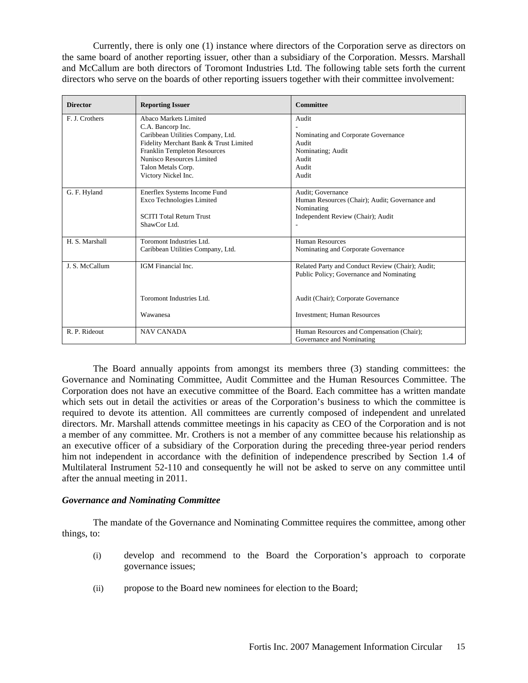Currently, there is only one (1) instance where directors of the Corporation serve as directors on the same board of another reporting issuer, other than a subsidiary of the Corporation. Messrs. Marshall and McCallum are both directors of Toromont Industries Ltd. The following table sets forth the current directors who serve on the boards of other reporting issuers together with their committee involvement:

| <b>Director</b> | <b>Reporting Issuer</b>                | <b>Committee</b>                                 |
|-----------------|----------------------------------------|--------------------------------------------------|
| F. J. Crothers  | Abaco Markets Limited                  | Audit                                            |
|                 | C.A. Bancorp Inc.                      |                                                  |
|                 | Caribbean Utilities Company, Ltd.      | Nominating and Corporate Governance              |
|                 | Fidelity Merchant Bank & Trust Limited | Audit                                            |
|                 | <b>Franklin Templeton Resources</b>    | Nominating; Audit                                |
|                 | Nunisco Resources Limited              | Audit                                            |
|                 | Talon Metals Corp.                     | Audit                                            |
|                 | Victory Nickel Inc.                    | Audit                                            |
| G. F. Hyland    | Enerflex Systems Income Fund           | Audit; Governance                                |
|                 | Exco Technologies Limited              | Human Resources (Chair); Audit; Governance and   |
|                 |                                        | Nominating                                       |
|                 | <b>SCITI Total Return Trust</b>        | Independent Review (Chair); Audit                |
|                 | ShawCor Ltd.                           |                                                  |
| H. S. Marshall  | Toromont Industries Ltd.               | Human Resources                                  |
|                 | Caribbean Utilities Company, Ltd.      | Nominating and Corporate Governance              |
|                 |                                        |                                                  |
| J. S. McCallum  | IGM Financial Inc.                     | Related Party and Conduct Review (Chair); Audit; |
|                 |                                        | Public Policy; Governance and Nominating         |
|                 |                                        |                                                  |
|                 | Toromont Industries Ltd.               | Audit (Chair); Corporate Governance              |
|                 |                                        |                                                  |
|                 | Wawanesa                               | <b>Investment</b> ; Human Resources              |
| R. P. Rideout   | <b>NAV CANADA</b>                      | Human Resources and Compensation (Chair);        |
|                 |                                        | Governance and Nominating                        |

 The Board annually appoints from amongst its members three (3) standing committees: the Governance and Nominating Committee, Audit Committee and the Human Resources Committee. The Corporation does not have an executive committee of the Board. Each committee has a written mandate which sets out in detail the activities or areas of the Corporation's business to which the committee is required to devote its attention. All committees are currently composed of independent and unrelated directors. Mr. Marshall attends committee meetings in his capacity as CEO of the Corporation and is not a member of any committee. Mr. Crothers is not a member of any committee because his relationship as an executive officer of a subsidiary of the Corporation during the preceding three-year period renders him not independent in accordance with the definition of independence prescribed by Section 1.4 of Multilateral Instrument 52-110 and consequently he will not be asked to serve on any committee until after the annual meeting in 2011.

#### *Governance and Nominating Committee*

The mandate of the Governance and Nominating Committee requires the committee, among other things, to:

- (i) develop and recommend to the Board the Corporation's approach to corporate governance issues;
- (ii) propose to the Board new nominees for election to the Board;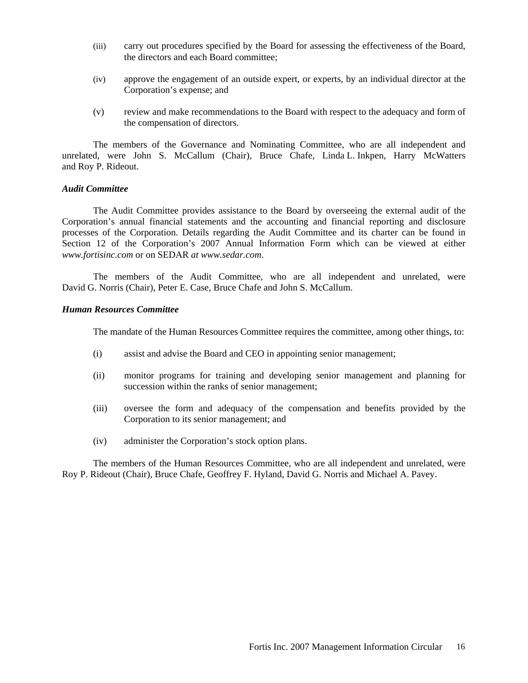- (iii) carry out procedures specified by the Board for assessing the effectiveness of the Board, the directors and each Board committee;
- (iv) approve the engagement of an outside expert, or experts, by an individual director at the Corporation's expense; and
- (v) review and make recommendations to the Board with respect to the adequacy and form of the compensation of directors.

The members of the Governance and Nominating Committee, who are all independent and unrelated, were John S. McCallum (Chair), Bruce Chafe, Linda L. Inkpen, Harry McWatters and Roy P. Rideout.

#### *Audit Committee*

The Audit Committee provides assistance to the Board by overseeing the external audit of the Corporation's annual financial statements and the accounting and financial reporting and disclosure processes of the Corporation. Details regarding the Audit Committee and its charter can be found in Section 12 of the Corporation's 2007 Annual Information Form which can be viewed at either *www.fortisinc.com* or on SEDAR *at www.sedar.com*.

The members of the Audit Committee, who are all independent and unrelated, were David G. Norris (Chair), Peter E. Case, Bruce Chafe and John S. McCallum.

#### *Human Resources Committee*

The mandate of the Human Resources Committee requires the committee, among other things, to:

- (i) assist and advise the Board and CEO in appointing senior management;
- (ii) monitor programs for training and developing senior management and planning for succession within the ranks of senior management;
- (iii) oversee the form and adequacy of the compensation and benefits provided by the Corporation to its senior management; and
- (iv) administer the Corporation's stock option plans.

The members of the Human Resources Committee, who are all independent and unrelated, were Roy P. Rideout (Chair), Bruce Chafe, Geoffrey F. Hyland, David G. Norris and Michael A. Pavey.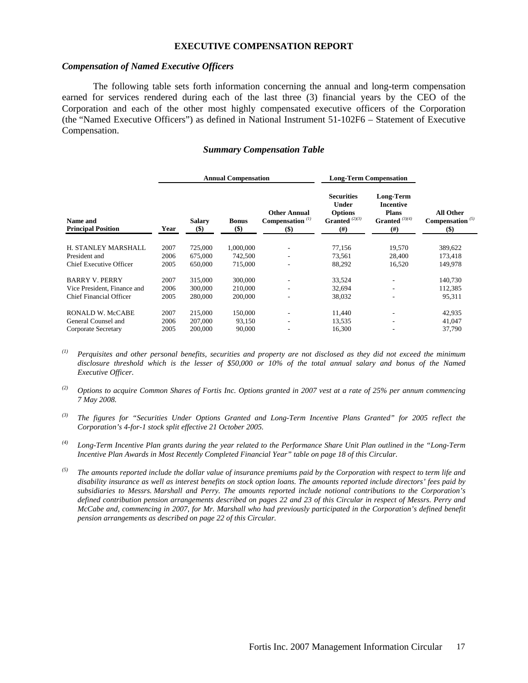#### **EXECUTIVE COMPENSATION REPORT**

#### *Compensation of Named Executive Officers*

 The following table sets forth information concerning the annual and long-term compensation earned for services rendered during each of the last three (3) financial years by the CEO of the Corporation and each of the other most highly compensated executive officers of the Corporation (the "Named Executive Officers") as defined in National Instrument 51-102F6 – Statement of Executive Compensation.

#### *Summary Compensation Table*

|                                       | <b>Annual Compensation</b> |                      |                     | <b>Long-Term Compensation</b>                        |                                                                          |                                                                               |                                                 |
|---------------------------------------|----------------------------|----------------------|---------------------|------------------------------------------------------|--------------------------------------------------------------------------|-------------------------------------------------------------------------------|-------------------------------------------------|
| Name and<br><b>Principal Position</b> | Year                       | <b>Salary</b><br>\$) | <b>Bonus</b><br>\$) | <b>Other Annual</b><br>Compensation $(1)$<br>$($ \$) | <b>Securities</b><br>Under<br><b>Options</b><br>Granted $(2)(3)$<br>(# ) | <b>Long-Term</b><br>Incentive<br><b>Plans</b><br>Granted $(3)(4)$<br>$^{(#)}$ | <b>All Other</b><br>Compensation $(5)$<br>$($)$ |
| H. STANLEY MARSHALL                   | 2007                       | 725,000              | 1,000,000           | ۰.                                                   | 77,156                                                                   | 19,570                                                                        | 389,622                                         |
| President and                         | 2006                       | 675,000              | 742,500             | ٠                                                    | 73,561                                                                   | 28,400                                                                        | 173,418                                         |
| Chief Executive Officer               | 2005                       | 650,000              | 715,000             | $\overline{\phantom{a}}$                             | 88,292                                                                   | 16,520                                                                        | 149,978                                         |
| <b>BARRY V. PERRY</b>                 | 2007                       | 315,000              | 300,000             |                                                      | 33,524                                                                   |                                                                               | 140,730                                         |
| Vice President, Finance and           | 2006                       | 300,000              | 210,000             |                                                      | 32,694                                                                   |                                                                               | 112,385                                         |
| <b>Chief Financial Officer</b>        | 2005                       | 280,000              | 200,000             |                                                      | 38,032                                                                   | ٠                                                                             | 95,311                                          |
| RONALD W. McCABE                      | 2007                       | 215,000              | 150,000             |                                                      | 11,440                                                                   |                                                                               | 42,935                                          |
| General Counsel and                   | 2006                       | 207,000              | 93,150              | ٠                                                    | 13,535                                                                   |                                                                               | 41,047                                          |
| Corporate Secretary                   | 2005                       | 200,000              | 90,000              | -                                                    | 16,300                                                                   |                                                                               | 37,790                                          |

*(1) Perquisites and other personal benefits, securities and property are not disclosed as they did not exceed the minimum disclosure threshold which is the lesser of \$50,000 or 10% of the total annual salary and bonus of the Named Executive Officer.* 

*(2) Options to acquire Common Shares of Fortis Inc. Options granted in 2007 vest at a rate of 25% per annum commencing 7 May 2008.* 

*(3) The figures for "Securities Under Options Granted and Long-Term Incentive Plans Granted" for 2005 reflect the Corporation's 4-for-1 stock split effective 21 October 2005.* 

*(4) Long-Term Incentive Plan grants during the year related to the Performance Share Unit Plan outlined in the "Long-Term Incentive Plan Awards in Most Recently Completed Financial Year" table on page 18 of this Circular.* 

*(5) The amounts reported include the dollar value of insurance premiums paid by the Corporation with respect to term life and disability insurance as well as interest benefits on stock option loans. The amounts reported include directors' fees paid by subsidiaries to Messrs. Marshall and Perry. The amounts reported include notional contributions to the Corporation's defined contribution pension arrangements described on pages 22 and 23 of this Circular in respect of Messrs. Perry and McCabe and, commencing in 2007, for Mr. Marshall who had previously participated in the Corporation's defined benefit pension arrangements as described on page 22 of this Circular.*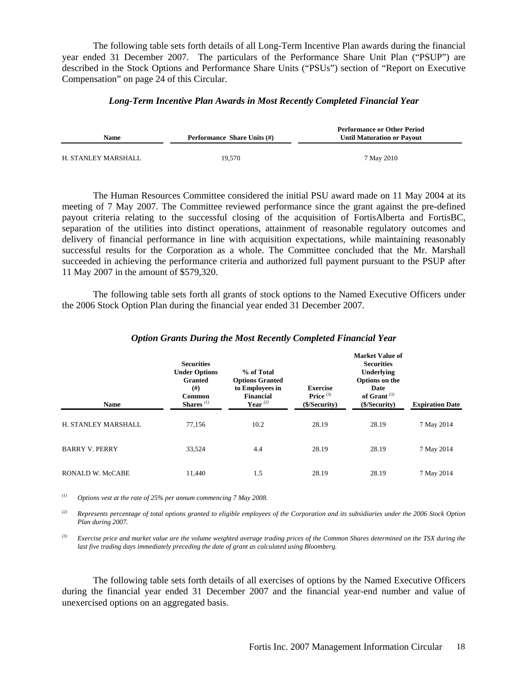The following table sets forth details of all Long-Term Incentive Plan awards during the financial year ended 31 December 2007. The particulars of the Performance Share Unit Plan ("PSUP") are described in the Stock Options and Performance Share Units ("PSUs") section of "Report on Executive Compensation" on page 24 of this Circular.

#### *Long-Term Incentive Plan Awards in Most Recently Completed Financial Year*

| <b>Name</b>         | <b>Performance Share Units (#)</b> | <b>Performance or Other Period</b><br><b>Until Maturation or Payout</b> |
|---------------------|------------------------------------|-------------------------------------------------------------------------|
| H. STANLEY MARSHALL | 19.570                             | 7 May 2010                                                              |

The Human Resources Committee considered the initial PSU award made on 11 May 2004 at its meeting of 7 May 2007. The Committee reviewed performance since the grant against the pre-defined payout criteria relating to the successful closing of the acquisition of FortisAlberta and FortisBC, separation of the utilities into distinct operations, attainment of reasonable regulatory outcomes and delivery of financial performance in line with acquisition expectations, while maintaining reasonably successful results for the Corporation as a whole. The Committee concluded that the Mr. Marshall succeeded in achieving the performance criteria and authorized full payment pursuant to the PSUP after 11 May 2007 in the amount of \$579,320.

 The following table sets forth all grants of stock options to the Named Executive Officers under the 2006 Stock Option Plan during the financial year ended 31 December 2007.

| <b>Name</b>             | <b>Securities</b><br><b>Under Options</b><br><b>Granted</b><br>(# )<br><b>Common</b><br>Shares $(1)$ | % of Total<br><b>Options Granted</b><br>to Employees in<br><b>Financial</b><br>Year $(2)$ | <b>Exercise</b><br>Price $(3)$<br>(\$/Security) | <b>Market Value of</b><br><b>Securities</b><br>Underlying<br>Options on the<br>Date<br>of Grant $(3)$<br>(\$/Security) | <b>Expiration Date</b> |
|-------------------------|------------------------------------------------------------------------------------------------------|-------------------------------------------------------------------------------------------|-------------------------------------------------|------------------------------------------------------------------------------------------------------------------------|------------------------|
| H. STANLEY MARSHALL     | 77,156                                                                                               | 10.2                                                                                      | 28.19                                           | 28.19                                                                                                                  | 7 May 2014             |
| <b>BARRY V. PERRY</b>   | 33,524                                                                                               | 4.4                                                                                       | 28.19                                           | 28.19                                                                                                                  | 7 May 2014             |
| <b>RONALD W. McCABE</b> | 11,440                                                                                               | 1.5                                                                                       | 28.19                                           | 28.19                                                                                                                  | 7 May 2014             |

#### *Option Grants During the Most Recently Completed Financial Year*

*(1) Options vest at the rate of 25% per annum commencing 7 May 2008.* 

*(2) Represents percentage of total options granted to eligible employees of the Corporation and its subsidiaries under the 2006 Stock Option Plan during 2007.* 

*(3) Exercise price and market value are the volume weighted average trading prices of the Common Shares determined on the TSX during the*  last five trading days immediately preceding the date of grant as calculated using Bloomberg.

 The following table sets forth details of all exercises of options by the Named Executive Officers during the financial year ended 31 December 2007 and the financial year-end number and value of unexercised options on an aggregated basis.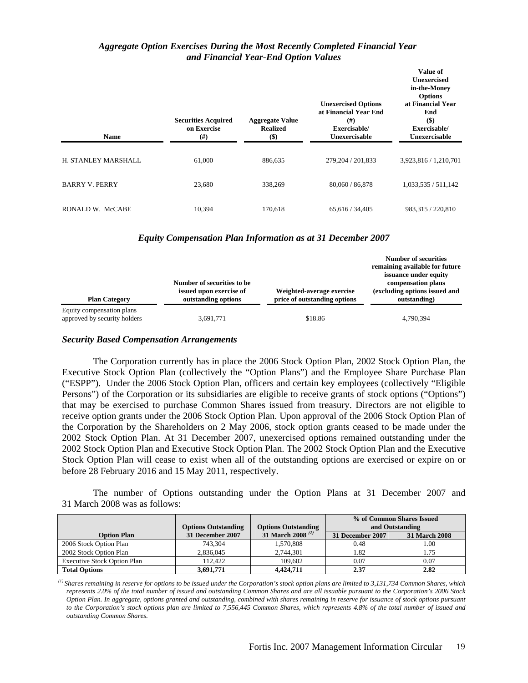#### *Aggregate Option Exercises During the Most Recently Completed Financial Year and Financial Year-End Option Values*

| <b>Name</b>           | <b>Securities Acquired</b><br>on Exercise<br>(# ) | <b>Aggregate Value</b><br><b>Realized</b><br>$($ \$) | <b>Unexercised Options</b><br>at Financial Year End<br>(# )<br>Exercisable/<br>Unexercisable | Value of<br><b>Unexercised</b><br>in-the-Money<br><b>Options</b><br>at Financial Year<br>End<br>$($)$<br>Exercisable/<br>Unexercisable |
|-----------------------|---------------------------------------------------|------------------------------------------------------|----------------------------------------------------------------------------------------------|----------------------------------------------------------------------------------------------------------------------------------------|
| H. STANLEY MARSHALL   | 61,000                                            | 886,635                                              | 279, 204 / 201, 833                                                                          | 3,923,816 / 1,210,701                                                                                                                  |
| <b>BARRY V. PERRY</b> | 23,680                                            | 338,269                                              | 80,060 / 86,878                                                                              | 1,033,535 / 511,142                                                                                                                    |
| RONALD W. McCABE      | 10,394                                            | 170.618                                              | 65, 616 / 34, 405                                                                            | 983.315 / 220.810                                                                                                                      |

#### *Equity Compensation Plan Information as at 31 December 2007*

| <b>Plan Category</b>                                      | Number of securities to be<br>issued upon exercise of<br>outstanding options | Weighted-average exercise<br>price of outstanding options | <b>Number of securities</b><br>remaining available for future<br>issuance under equity<br>compensation plans<br>(excluding options issued and<br>outstanding) |
|-----------------------------------------------------------|------------------------------------------------------------------------------|-----------------------------------------------------------|---------------------------------------------------------------------------------------------------------------------------------------------------------------|
| Equity compensation plans<br>approved by security holders | 3,691,771                                                                    | \$18.86                                                   | 4,790,394                                                                                                                                                     |

#### *Security Based Compensation Arrangements*

The Corporation currently has in place the 2006 Stock Option Plan, 2002 Stock Option Plan, the Executive Stock Option Plan (collectively the "Option Plans") and the Employee Share Purchase Plan ("ESPP"). Under the 2006 Stock Option Plan, officers and certain key employees (collectively "Eligible Persons") of the Corporation or its subsidiaries are eligible to receive grants of stock options ("Options") that may be exercised to purchase Common Shares issued from treasury. Directors are not eligible to receive option grants under the 2006 Stock Option Plan. Upon approval of the 2006 Stock Option Plan of the Corporation by the Shareholders on 2 May 2006, stock option grants ceased to be made under the 2002 Stock Option Plan. At 31 December 2007, unexercised options remained outstanding under the 2002 Stock Option Plan and Executive Stock Option Plan. The 2002 Stock Option Plan and the Executive Stock Option Plan will cease to exist when all of the outstanding options are exercised or expire on or before 28 February 2016 and 15 May 2011, respectively.

The number of Options outstanding under the Option Plans at 31 December 2007 and 31 March 2008 was as follows:

|                                    | <b>Options Outstanding</b> | <b>Options Outstanding</b>   |                  | % of Common Shares Issued<br>and Outstanding |
|------------------------------------|----------------------------|------------------------------|------------------|----------------------------------------------|
| <b>Option Plan</b>                 | 31 December 2007           | 31 March 2008 <sup>(1)</sup> | 31 December 2007 | 31 March 2008                                |
| 2006 Stock Option Plan             | 743.304                    | 1.570.808                    | 0.48             | 1.00                                         |
| 2002 Stock Option Plan             | 2,836,045                  | 2.744.301                    | 1.82             | 1.75                                         |
| <b>Executive Stock Option Plan</b> | 112.422                    | 109,602                      | 0.07             | 0.07                                         |
| <b>Total Options</b>               | 3.691.771                  | 4.424,711                    | 2.37             | 2.82                                         |

*(1) Shares remaining in reserve for options to be issued under the Corporation's stock option plans are limited to 3,131,734 Common Shares, which represents 2.0% of the total number of issued and outstanding Common Shares and are all issuable pursuant to the Corporation's 2006 Stock Option Plan. In aggregate, options granted and outstanding, combined with shares remaining in reserve for issuance of stock options pursuant to the Corporation's stock options plan are limited to 7,556,445 Common Shares, which represents 4.8% of the total number of issued and outstanding Common Shares.*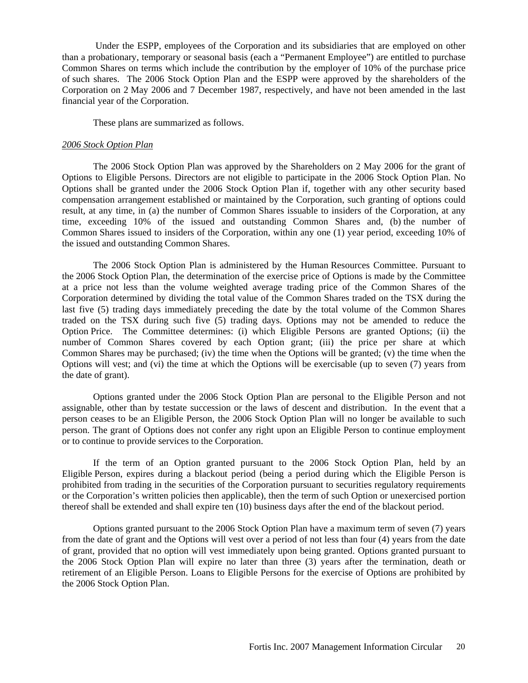Under the ESPP, employees of the Corporation and its subsidiaries that are employed on other than a probationary, temporary or seasonal basis (each a "Permanent Employee") are entitled to purchase Common Shares on terms which include the contribution by the employer of 10% of the purchase price of such shares. The 2006 Stock Option Plan and the ESPP were approved by the shareholders of the Corporation on 2 May 2006 and 7 December 1987, respectively, and have not been amended in the last financial year of the Corporation.

These plans are summarized as follows.

#### *2006 Stock Option Plan*

The 2006 Stock Option Plan was approved by the Shareholders on 2 May 2006 for the grant of Options to Eligible Persons. Directors are not eligible to participate in the 2006 Stock Option Plan. No Options shall be granted under the 2006 Stock Option Plan if, together with any other security based compensation arrangement established or maintained by the Corporation, such granting of options could result, at any time, in (a) the number of Common Shares issuable to insiders of the Corporation, at any time, exceeding 10% of the issued and outstanding Common Shares and, (b) the number of Common Shares issued to insiders of the Corporation, within any one (1) year period, exceeding 10% of the issued and outstanding Common Shares.

The 2006 Stock Option Plan is administered by the Human Resources Committee. Pursuant to the 2006 Stock Option Plan, the determination of the exercise price of Options is made by the Committee at a price not less than the volume weighted average trading price of the Common Shares of the Corporation determined by dividing the total value of the Common Shares traded on the TSX during the last five (5) trading days immediately preceding the date by the total volume of the Common Shares traded on the TSX during such five (5) trading days. Options may not be amended to reduce the Option Price. The Committee determines: (i) which Eligible Persons are granted Options; (ii) the number of Common Shares covered by each Option grant; (iii) the price per share at which Common Shares may be purchased; (iv) the time when the Options will be granted; (v) the time when the Options will vest; and (vi) the time at which the Options will be exercisable (up to seven (7) years from the date of grant).

Options granted under the 2006 Stock Option Plan are personal to the Eligible Person and not assignable, other than by testate succession or the laws of descent and distribution. In the event that a person ceases to be an Eligible Person, the 2006 Stock Option Plan will no longer be available to such person. The grant of Options does not confer any right upon an Eligible Person to continue employment or to continue to provide services to the Corporation.

If the term of an Option granted pursuant to the 2006 Stock Option Plan, held by an Eligible Person, expires during a blackout period (being a period during which the Eligible Person is prohibited from trading in the securities of the Corporation pursuant to securities regulatory requirements or the Corporation's written policies then applicable), then the term of such Option or unexercised portion thereof shall be extended and shall expire ten (10) business days after the end of the blackout period.

Options granted pursuant to the 2006 Stock Option Plan have a maximum term of seven (7) years from the date of grant and the Options will vest over a period of not less than four (4) years from the date of grant, provided that no option will vest immediately upon being granted. Options granted pursuant to the 2006 Stock Option Plan will expire no later than three (3) years after the termination, death or retirement of an Eligible Person. Loans to Eligible Persons for the exercise of Options are prohibited by the 2006 Stock Option Plan.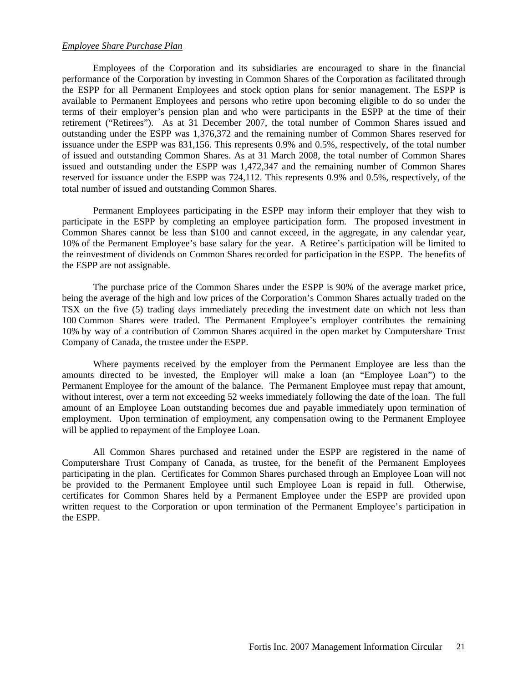#### *Employee Share Purchase Plan*

Employees of the Corporation and its subsidiaries are encouraged to share in the financial performance of the Corporation by investing in Common Shares of the Corporation as facilitated through the ESPP for all Permanent Employees and stock option plans for senior management. The ESPP is available to Permanent Employees and persons who retire upon becoming eligible to do so under the terms of their employer's pension plan and who were participants in the ESPP at the time of their retirement ("Retirees"). As at 31 December 2007, the total number of Common Shares issued and outstanding under the ESPP was 1,376,372 and the remaining number of Common Shares reserved for issuance under the ESPP was 831,156. This represents 0.9% and 0.5%, respectively, of the total number of issued and outstanding Common Shares. As at 31 March 2008, the total number of Common Shares issued and outstanding under the ESPP was 1,472,347 and the remaining number of Common Shares reserved for issuance under the ESPP was 724,112. This represents 0.9% and 0.5%, respectively, of the total number of issued and outstanding Common Shares.

Permanent Employees participating in the ESPP may inform their employer that they wish to participate in the ESPP by completing an employee participation form. The proposed investment in Common Shares cannot be less than \$100 and cannot exceed, in the aggregate, in any calendar year, 10% of the Permanent Employee's base salary for the year. A Retiree's participation will be limited to the reinvestment of dividends on Common Shares recorded for participation in the ESPP. The benefits of the ESPP are not assignable.

The purchase price of the Common Shares under the ESPP is 90% of the average market price, being the average of the high and low prices of the Corporation's Common Shares actually traded on the TSX on the five (5) trading days immediately preceding the investment date on which not less than 100 Common Shares were traded. The Permanent Employee's employer contributes the remaining 10% by way of a contribution of Common Shares acquired in the open market by Computershare Trust Company of Canada, the trustee under the ESPP.

Where payments received by the employer from the Permanent Employee are less than the amounts directed to be invested, the Employer will make a loan (an "Employee Loan") to the Permanent Employee for the amount of the balance. The Permanent Employee must repay that amount, without interest, over a term not exceeding 52 weeks immediately following the date of the loan. The full amount of an Employee Loan outstanding becomes due and payable immediately upon termination of employment. Upon termination of employment, any compensation owing to the Permanent Employee will be applied to repayment of the Employee Loan.

All Common Shares purchased and retained under the ESPP are registered in the name of Computershare Trust Company of Canada, as trustee, for the benefit of the Permanent Employees participating in the plan. Certificates for Common Shares purchased through an Employee Loan will not be provided to the Permanent Employee until such Employee Loan is repaid in full. Otherwise, certificates for Common Shares held by a Permanent Employee under the ESPP are provided upon written request to the Corporation or upon termination of the Permanent Employee's participation in the ESPP.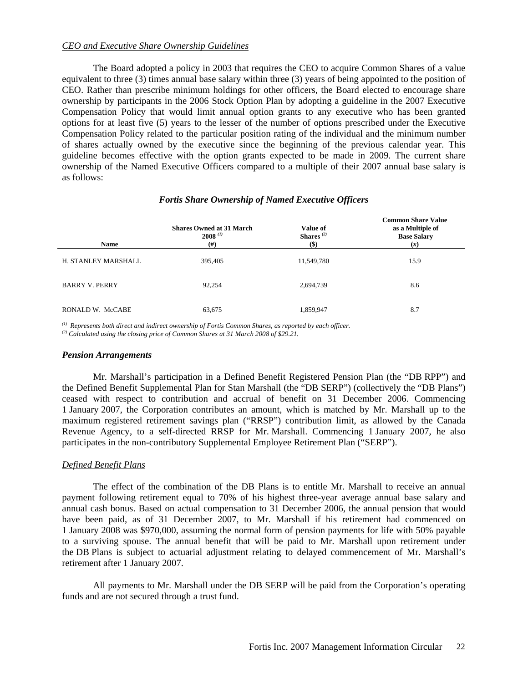#### *CEO and Executive Share Ownership Guidelines*

The Board adopted a policy in 2003 that requires the CEO to acquire Common Shares of a value equivalent to three (3) times annual base salary within three (3) years of being appointed to the position of CEO. Rather than prescribe minimum holdings for other officers, the Board elected to encourage share ownership by participants in the 2006 Stock Option Plan by adopting a guideline in the 2007 Executive Compensation Policy that would limit annual option grants to any executive who has been granted options for at least five (5) years to the lesser of the number of options prescribed under the Executive Compensation Policy related to the particular position rating of the individual and the minimum number of shares actually owned by the executive since the beginning of the previous calendar year. This guideline becomes effective with the option grants expected to be made in 2009. The current share ownership of the Named Executive Officers compared to a multiple of their 2007 annual base salary is as follows:

| <b>Name</b>           | <b>Shares Owned at 31 March</b><br>$2008^{(1)}$<br>$^{(\#)}$ | <b>Value of</b><br>Shares <sup><math>(2)</math></sup><br>$($)$ | <b>Common Share Value</b><br>as a Multiple of<br><b>Base Salary</b><br>(x) |
|-----------------------|--------------------------------------------------------------|----------------------------------------------------------------|----------------------------------------------------------------------------|
| H. STANLEY MARSHALL   | 395,405                                                      | 11,549,780                                                     | 15.9                                                                       |
| <b>BARRY V. PERRY</b> | 92,254                                                       | 2,694,739                                                      | 8.6                                                                        |
| RONALD W. McCABE      | 63,675                                                       | 1,859,947                                                      | 8.7                                                                        |

#### *Fortis Share Ownership of Named Executive Officers*

*(1) Represents both direct and indirect ownership of Fortis Common Shares, as reported by each officer.*

*(2) Calculated using the closing price of Common Shares at 31 March 2008 of \$29.21.*

#### *Pension Arrangements*

Mr. Marshall's participation in a Defined Benefit Registered Pension Plan (the "DB RPP") and the Defined Benefit Supplemental Plan for Stan Marshall (the "DB SERP") (collectively the "DB Plans") ceased with respect to contribution and accrual of benefit on 31 December 2006. Commencing 1 January 2007, the Corporation contributes an amount, which is matched by Mr. Marshall up to the maximum registered retirement savings plan ("RRSP") contribution limit, as allowed by the Canada Revenue Agency, to a self-directed RRSP for Mr. Marshall. Commencing 1 January 2007, he also participates in the non-contributory Supplemental Employee Retirement Plan ("SERP").

#### *Defined Benefit Plans*

The effect of the combination of the DB Plans is to entitle Mr. Marshall to receive an annual payment following retirement equal to 70% of his highest three-year average annual base salary and annual cash bonus. Based on actual compensation to 31 December 2006, the annual pension that would have been paid, as of 31 December 2007, to Mr. Marshall if his retirement had commenced on 1 January 2008 was \$970,000, assuming the normal form of pension payments for life with 50% payable to a surviving spouse. The annual benefit that will be paid to Mr. Marshall upon retirement under the DB Plans is subject to actuarial adjustment relating to delayed commencement of Mr. Marshall's retirement after 1 January 2007.

All payments to Mr. Marshall under the DB SERP will be paid from the Corporation's operating funds and are not secured through a trust fund.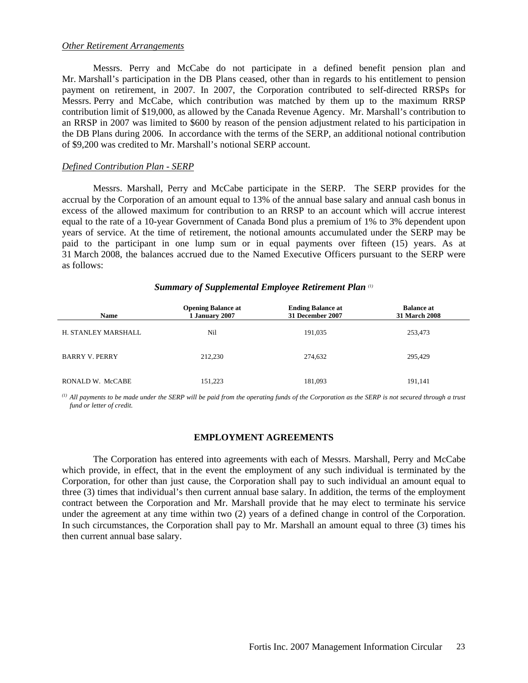#### *Other Retirement Arrangements*

 Messrs. Perry and McCabe do not participate in a defined benefit pension plan and Mr. Marshall's participation in the DB Plans ceased, other than in regards to his entitlement to pension payment on retirement, in 2007. In 2007, the Corporation contributed to self-directed RRSPs for Messrs. Perry and McCabe, which contribution was matched by them up to the maximum RRSP contribution limit of \$19,000, as allowed by the Canada Revenue Agency. Mr. Marshall's contribution to an RRSP in 2007 was limited to \$600 by reason of the pension adjustment related to his participation in the DB Plans during 2006. In accordance with the terms of the SERP, an additional notional contribution of \$9,200 was credited to Mr. Marshall's notional SERP account.

#### *Defined Contribution Plan - SERP*

 Messrs. Marshall, Perry and McCabe participate in the SERP. The SERP provides for the accrual by the Corporation of an amount equal to 13% of the annual base salary and annual cash bonus in excess of the allowed maximum for contribution to an RRSP to an account which will accrue interest equal to the rate of a 10-year Government of Canada Bond plus a premium of 1% to 3% dependent upon years of service. At the time of retirement, the notional amounts accumulated under the SERP may be paid to the participant in one lump sum or in equal payments over fifteen (15) years. As at 31 March 2008, the balances accrued due to the Named Executive Officers pursuant to the SERP were as follows:

#### *Summary of Supplemental Employee Retirement Plan (1)*

| <b>Name</b>           | <b>Opening Balance at</b><br>1 January 2007 | <b>Ending Balance at</b><br>31 December 2007 | <b>Balance at</b><br>31 March 2008 |
|-----------------------|---------------------------------------------|----------------------------------------------|------------------------------------|
| H. STANLEY MARSHALL   | Nil                                         | 191,035                                      | 253,473                            |
| <b>BARRY V. PERRY</b> | 212,230                                     | 274,632                                      | 295,429                            |
| RONALD W. McCABE      | 151,223                                     | 181,093                                      | 191,141                            |

 $\alpha$ <sup>(1)</sup> All payments to be made under the SERP will be paid from the operating funds of the Corporation as the SERP is not secured through a trust *fund or letter of credit.*

#### **EMPLOYMENT AGREEMENTS**

 The Corporation has entered into agreements with each of Messrs. Marshall, Perry and McCabe which provide, in effect, that in the event the employment of any such individual is terminated by the Corporation, for other than just cause, the Corporation shall pay to such individual an amount equal to three (3) times that individual's then current annual base salary. In addition, the terms of the employment contract between the Corporation and Mr. Marshall provide that he may elect to terminate his service under the agreement at any time within two (2) years of a defined change in control of the Corporation. In such circumstances, the Corporation shall pay to Mr. Marshall an amount equal to three (3) times his then current annual base salary.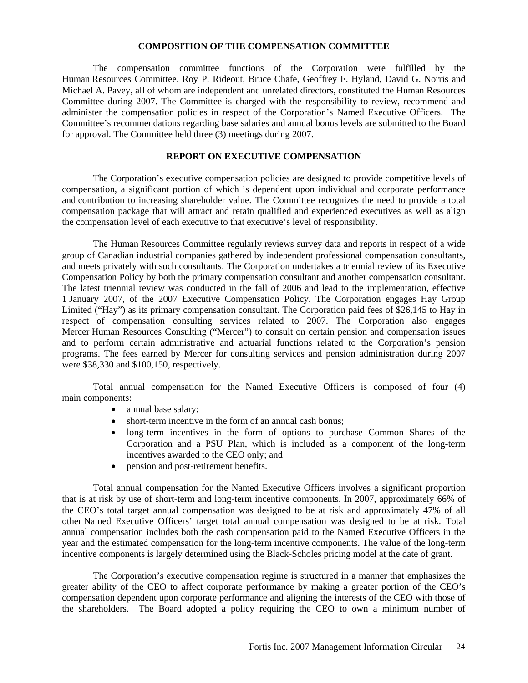#### **COMPOSITION OF THE COMPENSATION COMMITTEE**

The compensation committee functions of the Corporation were fulfilled by the Human Resources Committee. Roy P. Rideout, Bruce Chafe, Geoffrey F. Hyland, David G. Norris and Michael A. Pavey, all of whom are independent and unrelated directors, constituted the Human Resources Committee during 2007. The Committee is charged with the responsibility to review, recommend and administer the compensation policies in respect of the Corporation's Named Executive Officers. The Committee's recommendations regarding base salaries and annual bonus levels are submitted to the Board for approval. The Committee held three (3) meetings during 2007.

#### **REPORT ON EXECUTIVE COMPENSATION**

 The Corporation's executive compensation policies are designed to provide competitive levels of compensation, a significant portion of which is dependent upon individual and corporate performance and contribution to increasing shareholder value. The Committee recognizes the need to provide a total compensation package that will attract and retain qualified and experienced executives as well as align the compensation level of each executive to that executive's level of responsibility.

 The Human Resources Committee regularly reviews survey data and reports in respect of a wide group of Canadian industrial companies gathered by independent professional compensation consultants, and meets privately with such consultants. The Corporation undertakes a triennial review of its Executive Compensation Policy by both the primary compensation consultant and another compensation consultant. The latest triennial review was conducted in the fall of 2006 and lead to the implementation, effective 1 January 2007, of the 2007 Executive Compensation Policy. The Corporation engages Hay Group Limited ("Hay") as its primary compensation consultant. The Corporation paid fees of \$26,145 to Hay in respect of compensation consulting services related to 2007. The Corporation also engages Mercer Human Resources Consulting ("Mercer") to consult on certain pension and compensation issues and to perform certain administrative and actuarial functions related to the Corporation's pension programs. The fees earned by Mercer for consulting services and pension administration during 2007 were \$38,330 and \$100,150, respectively.

 Total annual compensation for the Named Executive Officers is composed of four (4) main components:

- annual base salary;
- short-term incentive in the form of an annual cash bonus;
- long-term incentives in the form of options to purchase Common Shares of the Corporation and a PSU Plan, which is included as a component of the long-term incentives awarded to the CEO only; and
- pension and post-retirement benefits.

Total annual compensation for the Named Executive Officers involves a significant proportion that is at risk by use of short-term and long-term incentive components. In 2007, approximately 66% of the CEO's total target annual compensation was designed to be at risk and approximately 47% of all other Named Executive Officers' target total annual compensation was designed to be at risk. Total annual compensation includes both the cash compensation paid to the Named Executive Officers in the year and the estimated compensation for the long-term incentive components. The value of the long-term incentive components is largely determined using the Black-Scholes pricing model at the date of grant.

The Corporation's executive compensation regime is structured in a manner that emphasizes the greater ability of the CEO to affect corporate performance by making a greater portion of the CEO's compensation dependent upon corporate performance and aligning the interests of the CEO with those of the shareholders. The Board adopted a policy requiring the CEO to own a minimum number of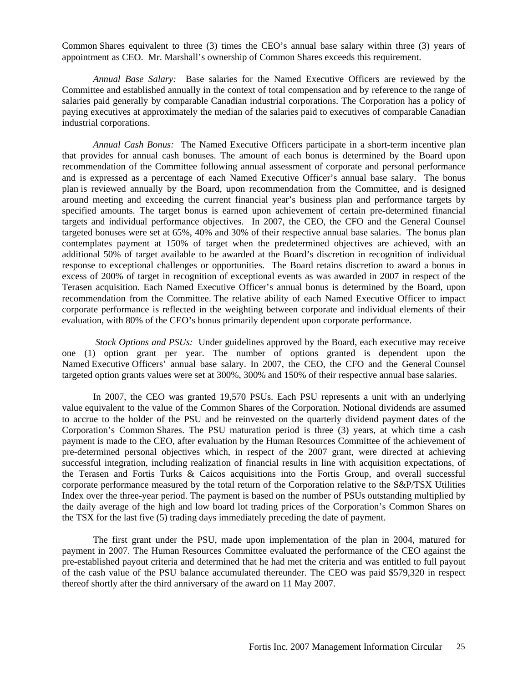Common Shares equivalent to three (3) times the CEO's annual base salary within three (3) years of appointment as CEO. Mr. Marshall's ownership of Common Shares exceeds this requirement.

*Annual Base Salary:* Base salaries for the Named Executive Officers are reviewed by the Committee and established annually in the context of total compensation and by reference to the range of salaries paid generally by comparable Canadian industrial corporations. The Corporation has a policy of paying executives at approximately the median of the salaries paid to executives of comparable Canadian industrial corporations.

*Annual Cash Bonus:* The Named Executive Officers participate in a short-term incentive plan that provides for annual cash bonuses. The amount of each bonus is determined by the Board upon recommendation of the Committee following annual assessment of corporate and personal performance and is expressed as a percentage of each Named Executive Officer's annual base salary. The bonus plan is reviewed annually by the Board, upon recommendation from the Committee, and is designed around meeting and exceeding the current financial year's business plan and performance targets by specified amounts. The target bonus is earned upon achievement of certain pre-determined financial targets and individual performance objectives. In 2007, the CEO, the CFO and the General Counsel targeted bonuses were set at 65%, 40% and 30% of their respective annual base salaries. The bonus plan contemplates payment at 150% of target when the predetermined objectives are achieved, with an additional 50% of target available to be awarded at the Board's discretion in recognition of individual response to exceptional challenges or opportunities. The Board retains discretion to award a bonus in excess of 200% of target in recognition of exceptional events as was awarded in 2007 in respect of the Terasen acquisition. Each Named Executive Officer's annual bonus is determined by the Board, upon recommendation from the Committee. The relative ability of each Named Executive Officer to impact corporate performance is reflected in the weighting between corporate and individual elements of their evaluation, with 80% of the CEO's bonus primarily dependent upon corporate performance.

 *Stock Options and PSUs:* Under guidelines approved by the Board, each executive may receive one (1) option grant per year. The number of options granted is dependent upon the Named Executive Officers' annual base salary. In 2007, the CEO, the CFO and the General Counsel targeted option grants values were set at 300%, 300% and 150% of their respective annual base salaries.

In 2007, the CEO was granted 19,570 PSUs. Each PSU represents a unit with an underlying value equivalent to the value of the Common Shares of the Corporation. Notional dividends are assumed to accrue to the holder of the PSU and be reinvested on the quarterly dividend payment dates of the Corporation's Common Shares. The PSU maturation period is three (3) years, at which time a cash payment is made to the CEO, after evaluation by the Human Resources Committee of the achievement of pre-determined personal objectives which, in respect of the 2007 grant, were directed at achieving successful integration, including realization of financial results in line with acquisition expectations, of the Terasen and Fortis Turks & Caicos acquisitions into the Fortis Group, and overall successful corporate performance measured by the total return of the Corporation relative to the S&P/TSX Utilities Index over the three-year period. The payment is based on the number of PSUs outstanding multiplied by the daily average of the high and low board lot trading prices of the Corporation's Common Shares on the TSX for the last five (5) trading days immediately preceding the date of payment.

The first grant under the PSU, made upon implementation of the plan in 2004, matured for payment in 2007. The Human Resources Committee evaluated the performance of the CEO against the pre-established payout criteria and determined that he had met the criteria and was entitled to full payout of the cash value of the PSU balance accumulated thereunder. The CEO was paid \$579,320 in respect thereof shortly after the third anniversary of the award on 11 May 2007.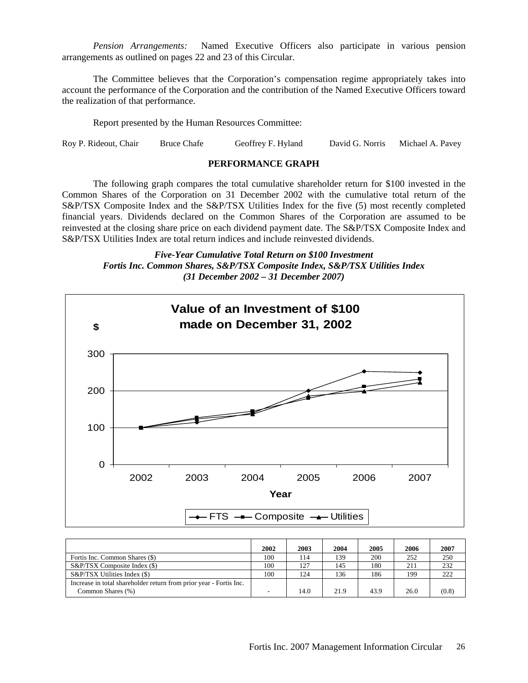*Pension Arrangements:* Named Executive Officers also participate in various pension arrangements as outlined on pages 22 and 23 of this Circular.

The Committee believes that the Corporation's compensation regime appropriately takes into account the performance of the Corporation and the contribution of the Named Executive Officers toward the realization of that performance.

Report presented by the Human Resources Committee:

Roy P. Rideout, Chair Bruce Chafe Geoffrey F. Hyland David G. Norris Michael A. Pavey

#### **PERFORMANCE GRAPH**

 The following graph compares the total cumulative shareholder return for \$100 invested in the Common Shares of the Corporation on 31 December 2002 with the cumulative total return of the S&P/TSX Composite Index and the S&P/TSX Utilities Index for the five (5) most recently completed financial years. Dividends declared on the Common Shares of the Corporation are assumed to be reinvested at the closing share price on each dividend payment date. The S&P/TSX Composite Index and S&P/TSX Utilities Index are total return indices and include reinvested dividends.

*Five-Year Cumulative Total Return on \$100 Investment Fortis Inc. Common Shares, S&P/TSX Composite Index, S&P/TSX Utilities Index (31 December 2002 – 31 December 2007)* 



|                                                                                         | 2002 | 2003 | 2004 | 2005 | 2006 | 2007  |
|-----------------------------------------------------------------------------------------|------|------|------|------|------|-------|
| Fortis Inc. Common Shares (\$)                                                          | 100  | 114  | 139  | 200  | 252  | 250   |
| S&P/TSX Composite Index (\$)                                                            | 100  | 127  | 145  | 180  | 211  | 232   |
| S&P/TSX Utilities Index (\$)                                                            | 100  | 124  | 136  | 186  | 199  | 222   |
| Increase in total shareholder return from prior year - Fortis Inc.<br>Common Shares (%) |      | 14.0 | 21.9 | 43.9 | 26.0 | (0.8) |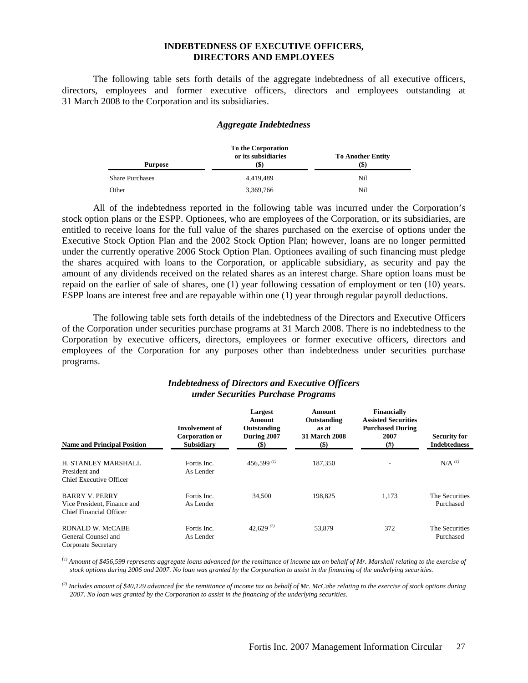#### **INDEBTEDNESS OF EXECUTIVE OFFICERS, DIRECTORS AND EMPLOYEES**

 The following table sets forth details of the aggregate indebtedness of all executive officers, directors, employees and former executive officers, directors and employees outstanding at 31 March 2008 to the Corporation and its subsidiaries.

#### *Aggregate Indebtedness*

|                        | <b>To Another Entity</b> |     |
|------------------------|--------------------------|-----|
| <b>Purpose</b>         | (\$)                     | (S) |
| <b>Share Purchases</b> | 4.419.489                | Nil |
| Other                  | 3,369,766                | Nil |

All of the indebtedness reported in the following table was incurred under the Corporation's stock option plans or the ESPP. Optionees, who are employees of the Corporation, or its subsidiaries, are entitled to receive loans for the full value of the shares purchased on the exercise of options under the Executive Stock Option Plan and the 2002 Stock Option Plan; however, loans are no longer permitted under the currently operative 2006 Stock Option Plan. Optionees availing of such financing must pledge the shares acquired with loans to the Corporation, or applicable subsidiary, as security and pay the amount of any dividends received on the related shares as an interest charge. Share option loans must be repaid on the earlier of sale of shares, one (1) year following cessation of employment or ten (10) years. ESPP loans are interest free and are repayable within one (1) year through regular payroll deductions.

The following table sets forth details of the indebtedness of the Directors and Executive Officers of the Corporation under securities purchase programs at 31 March 2008. There is no indebtedness to the Corporation by executive officers, directors, employees or former executive officers, directors and employees of the Corporation for any purposes other than indebtedness under securities purchase programs.

| <b>Name and Principal Position</b>                                              | Involvement of<br>Corporation or<br><b>Subsidiary</b> | Largest<br>Amount<br>Outstanding<br>During 2007<br>$($ \$) | Amount<br>Outstanding<br>as at<br><b>31 March 2008</b><br>$(\$)$ | <b>Financially</b><br><b>Assisted Securities</b><br><b>Purchased During</b><br>2007<br>$^{(#)}$ | <b>Security for</b><br><b>Indebtedness</b> |
|---------------------------------------------------------------------------------|-------------------------------------------------------|------------------------------------------------------------|------------------------------------------------------------------|-------------------------------------------------------------------------------------------------|--------------------------------------------|
| H. STANLEY MARSHALL<br>President and<br>Chief Executive Officer                 | Fortis Inc.<br>As Lender                              | 456,599 $(1)$                                              | 187,350                                                          |                                                                                                 | $N/A$ <sup><math>(l)</math></sup>          |
| <b>BARRY V. PERRY</b><br>Vice President, Finance and<br>Chief Financial Officer | Fortis Inc.<br>As Lender                              | 34,500                                                     | 198,825                                                          | 1,173                                                                                           | The Securities<br>Purchased                |
| RONALD W. McCABE<br>General Counsel and<br>Corporate Secretary                  | Fortis Inc.<br>As Lender                              | 42,629 $(2)$                                               | 53,879                                                           | 372                                                                                             | The Securities<br>Purchased                |

#### *Indebtedness of Directors and Executive Officers under Securities Purchase Programs*

*(1) Amount of \$456,599 represents aggregate loans advanced for the remittance of income tax on behalf of Mr. Marshall relating to the exercise of stock options during 2006 and 2007. No loan was granted by the Corporation to assist in the financing of the underlying securities.*

*(2) Includes amount of \$40,129 advanced for the remittance of income tax on behalf of Mr. McCabe relating to the exercise of stock options during 2007. No loan was granted by the Corporation to assist in the financing of the underlying securities.*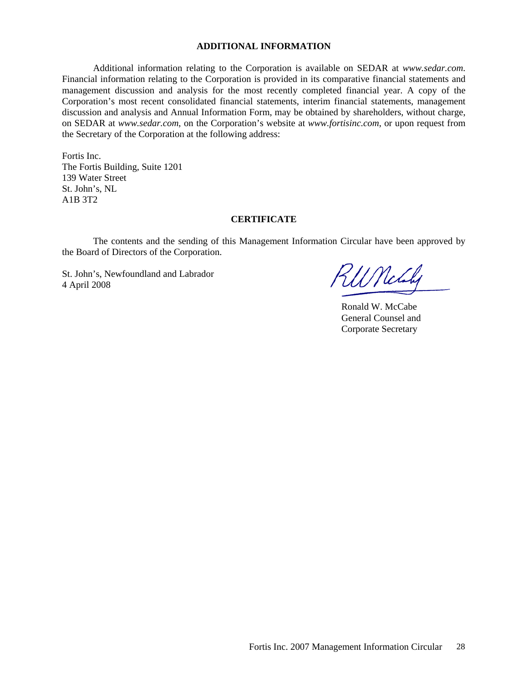#### **ADDITIONAL INFORMATION**

Additional information relating to the Corporation is available on SEDAR at *www.sedar.com*. Financial information relating to the Corporation is provided in its comparative financial statements and management discussion and analysis for the most recently completed financial year. A copy of the Corporation's most recent consolidated financial statements, interim financial statements, management discussion and analysis and Annual Information Form, may be obtained by shareholders, without charge, on SEDAR at *www.sedar.com*, on the Corporation's website at *www.fortisinc.com*, or upon request from the Secretary of the Corporation at the following address:

Fortis Inc. The Fortis Building, Suite 1201 139 Water Street St. John's, NL A1B 3T2

#### **CERTIFICATE**

 The contents and the sending of this Management Information Circular have been approved by the Board of Directors of the Corporation.

St. John's, Newfoundland and Labrador St. John's, Newfoundland and Labrador  $\mathcal{H}$   $\mathcal{H}$   $\mathcal{H}$ 

Ronald W. McCabe General Counsel and Corporate Secretary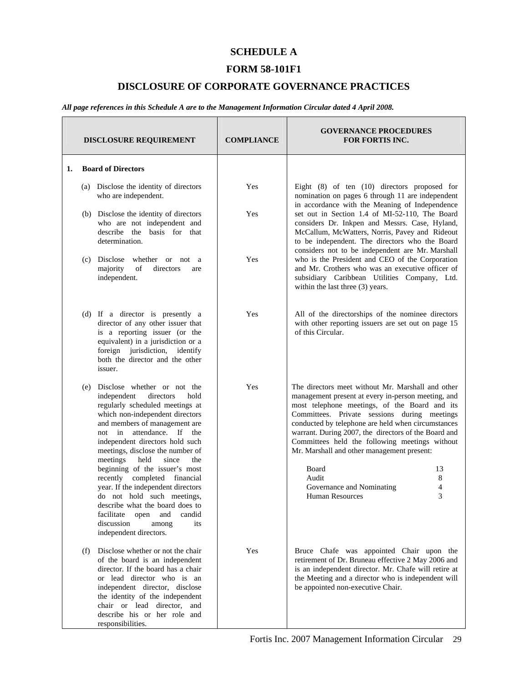#### **SCHEDULE A**

#### **FORM 58-101F1**

#### **DISCLOSURE OF CORPORATE GOVERNANCE PRACTICES**

*All page references in this Schedule A are to the Management Information Circular dated 4 April 2008.* 

|    | <b>DISCLOSURE REQUIREMENT</b>                                                                                                                                                                                                                                                                                                                                                                                                                                                                                                                                                           | <b>COMPLIANCE</b> | <b>GOVERNANCE PROCEDURES</b><br><b>FOR FORTIS INC.</b>                                                                                                                                                                                                                                                                                                                                                                                                                                                               |
|----|-----------------------------------------------------------------------------------------------------------------------------------------------------------------------------------------------------------------------------------------------------------------------------------------------------------------------------------------------------------------------------------------------------------------------------------------------------------------------------------------------------------------------------------------------------------------------------------------|-------------------|----------------------------------------------------------------------------------------------------------------------------------------------------------------------------------------------------------------------------------------------------------------------------------------------------------------------------------------------------------------------------------------------------------------------------------------------------------------------------------------------------------------------|
| 1. | <b>Board of Directors</b>                                                                                                                                                                                                                                                                                                                                                                                                                                                                                                                                                               |                   |                                                                                                                                                                                                                                                                                                                                                                                                                                                                                                                      |
|    | (a) Disclose the identity of directors<br>who are independent.                                                                                                                                                                                                                                                                                                                                                                                                                                                                                                                          | Yes               | Eight $(8)$ of ten $(10)$ directors proposed for<br>nomination on pages 6 through 11 are independent<br>in accordance with the Meaning of Independence                                                                                                                                                                                                                                                                                                                                                               |
|    | (b) Disclose the identity of directors<br>who are not independent and<br>describe the basis for that<br>determination.                                                                                                                                                                                                                                                                                                                                                                                                                                                                  | Yes               | set out in Section 1.4 of MI-52-110, The Board<br>considers Dr. Inkpen and Messrs. Case, Hyland,<br>McCallum, McWatters, Norris, Pavey and Rideout<br>to be independent. The directors who the Board<br>considers not to be independent are Mr. Marshall                                                                                                                                                                                                                                                             |
|    | Disclose<br>whether or not a<br>(c)<br>majority<br>of<br>directors<br>are<br>independent.                                                                                                                                                                                                                                                                                                                                                                                                                                                                                               | Yes               | who is the President and CEO of the Corporation<br>and Mr. Crothers who was an executive officer of<br>subsidiary Caribbean Utilities Company, Ltd.<br>within the last three (3) years.                                                                                                                                                                                                                                                                                                                              |
|    | (d) If a director is presently a<br>director of any other issuer that<br>is a reporting issuer (or the<br>equivalent) in a jurisdiction or a<br>foreign jurisdiction, identify<br>both the director and the other<br>issuer.                                                                                                                                                                                                                                                                                                                                                            | Yes               | All of the directorships of the nominee directors<br>with other reporting issuers are set out on page 15<br>of this Circular.                                                                                                                                                                                                                                                                                                                                                                                        |
|    | Disclose whether or not the<br>(e)<br>independent<br>directors<br>hold<br>regularly scheduled meetings at<br>which non-independent directors<br>and members of management are<br>not in attendance. If the<br>independent directors hold such<br>meetings, disclose the number of<br>meetings<br>since<br>held<br>the<br>beginning of the issuer's most<br>recently completed financial<br>year. If the independent directors<br>do not hold such meetings,<br>describe what the board does to<br>facilitate open and<br>candid<br>discussion<br>its<br>among<br>independent directors. | Yes               | The directors meet without Mr. Marshall and other<br>management present at every in-person meeting, and<br>most telephone meetings, of the Board and its<br>Committees. Private sessions during meetings<br>conducted by telephone are held when circumstances<br>warrant. During 2007, the directors of the Board and<br>Committees held the following meetings without<br>Mr. Marshall and other management present:<br>Board<br>13<br>Audit<br>8<br>Governance and Nominating<br>4<br>3<br><b>Human Resources</b> |
|    | Disclose whether or not the chair<br>(f)<br>of the board is an independent<br>director. If the board has a chair<br>or lead director who is an<br>independent director, disclose<br>the identity of the independent<br>chair or lead director, and<br>describe his or her role and<br>responsibilities.                                                                                                                                                                                                                                                                                 | Yes               | Bruce Chafe was appointed Chair upon the<br>retirement of Dr. Bruneau effective 2 May 2006 and<br>is an independent director. Mr. Chafe will retire at<br>the Meeting and a director who is independent will<br>be appointed non-executive Chair.                                                                                                                                                                                                                                                                    |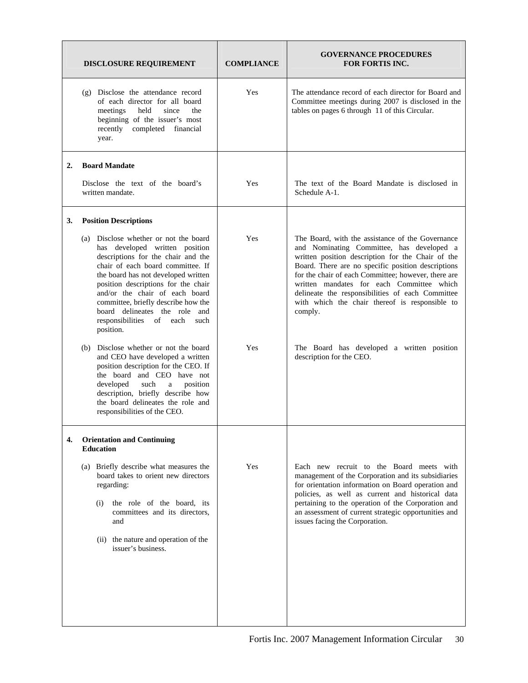|    | <b>DISCLOSURE REQUIREMENT</b>                                                                                                                                                                                                                                                                                                                                                                     | <b>COMPLIANCE</b> | <b>GOVERNANCE PROCEDURES</b><br><b>FOR FORTIS INC.</b>                                                                                                                                                                                                                                                                                                                                                                        |
|----|---------------------------------------------------------------------------------------------------------------------------------------------------------------------------------------------------------------------------------------------------------------------------------------------------------------------------------------------------------------------------------------------------|-------------------|-------------------------------------------------------------------------------------------------------------------------------------------------------------------------------------------------------------------------------------------------------------------------------------------------------------------------------------------------------------------------------------------------------------------------------|
|    | (g) Disclose the attendance record<br>of each director for all board<br>meetings<br>held<br>since<br>the<br>beginning of the issuer's most<br>recently completed financial<br>year.                                                                                                                                                                                                               | Yes               | The attendance record of each director for Board and<br>Committee meetings during 2007 is disclosed in the<br>tables on pages 6 through 11 of this Circular.                                                                                                                                                                                                                                                                  |
| 2. | <b>Board Mandate</b>                                                                                                                                                                                                                                                                                                                                                                              |                   |                                                                                                                                                                                                                                                                                                                                                                                                                               |
|    | Disclose the text of the board's<br>written mandate.                                                                                                                                                                                                                                                                                                                                              | Yes               | The text of the Board Mandate is disclosed in<br>Schedule A-1.                                                                                                                                                                                                                                                                                                                                                                |
| 3. | <b>Position Descriptions</b>                                                                                                                                                                                                                                                                                                                                                                      |                   |                                                                                                                                                                                                                                                                                                                                                                                                                               |
|    | (a) Disclose whether or not the board<br>has developed written position<br>descriptions for the chair and the<br>chair of each board committee. If<br>the board has not developed written<br>position descriptions for the chair<br>and/or the chair of each board<br>committee, briefly describe how the<br>board delineates the role and<br>responsibilities<br>of<br>each<br>such<br>position. | Yes               | The Board, with the assistance of the Governance<br>and Nominating Committee, has developed a<br>written position description for the Chair of the<br>Board. There are no specific position descriptions<br>for the chair of each Committee; however, there are<br>written mandates for each Committee which<br>delineate the responsibilities of each Committee<br>with which the chair thereof is responsible to<br>comply. |
|    | (b) Disclose whether or not the board<br>and CEO have developed a written<br>position description for the CEO. If<br>the board and CEO have not<br>such<br>developed<br>position<br>a<br>description, briefly describe how<br>the board delineates the role and<br>responsibilities of the CEO.                                                                                                   | Yes               | The Board has developed a written position<br>description for the CEO.                                                                                                                                                                                                                                                                                                                                                        |
| 4. | <b>Orientation and Continuing</b><br><b>Education</b>                                                                                                                                                                                                                                                                                                                                             |                   |                                                                                                                                                                                                                                                                                                                                                                                                                               |
|    | (a) Briefly describe what measures the<br>board takes to orient new directors<br>regarding:<br>the role of the board, its<br>(i)<br>committees and its directors,<br>and<br>(ii) the nature and operation of the<br>issuer's business.                                                                                                                                                            | Yes               | Each new recruit to the Board meets with<br>management of the Corporation and its subsidiaries<br>for orientation information on Board operation and<br>policies, as well as current and historical data<br>pertaining to the operation of the Corporation and<br>an assessment of current strategic opportunities and<br>issues facing the Corporation.                                                                      |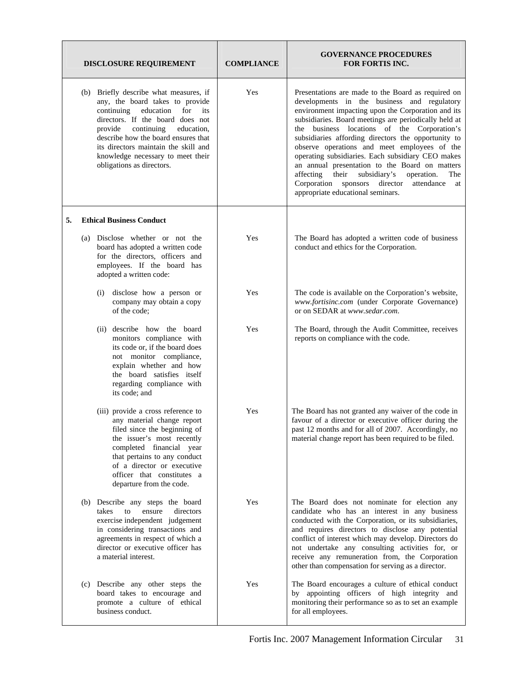| <b>DISCLOSURE REQUIREMENT</b> |                                                                                                                                                                                                                                                                                                                                          | <b>COMPLIANCE</b> | <b>GOVERNANCE PROCEDURES</b><br><b>FOR FORTIS INC.</b>                                                                                                                                                                                                                                                                                                                                                                                                                                                                                                                                                                                          |
|-------------------------------|------------------------------------------------------------------------------------------------------------------------------------------------------------------------------------------------------------------------------------------------------------------------------------------------------------------------------------------|-------------------|-------------------------------------------------------------------------------------------------------------------------------------------------------------------------------------------------------------------------------------------------------------------------------------------------------------------------------------------------------------------------------------------------------------------------------------------------------------------------------------------------------------------------------------------------------------------------------------------------------------------------------------------------|
|                               | (b) Briefly describe what measures, if<br>any, the board takes to provide<br>continuing education<br>for<br>its<br>directors. If the board does not<br>provide continuing<br>education,<br>describe how the board ensures that<br>its directors maintain the skill and<br>knowledge necessary to meet their<br>obligations as directors. | Yes               | Presentations are made to the Board as required on<br>developments in the business and regulatory<br>environment impacting upon the Corporation and its<br>subsidiaries. Board meetings are periodically held at<br>the business locations of the Corporation's<br>subsidiaries affording directors the opportunity to<br>observe operations and meet employees of the<br>operating subsidiaries. Each subsidiary CEO makes<br>an annual presentation to the Board on matters<br>affecting<br>their<br>subsidiary's<br>operation.<br><b>The</b><br>Corporation<br>sponsors<br>director<br>attendance<br>at<br>appropriate educational seminars. |
| 5.                            | <b>Ethical Business Conduct</b>                                                                                                                                                                                                                                                                                                          |                   |                                                                                                                                                                                                                                                                                                                                                                                                                                                                                                                                                                                                                                                 |
|                               | (a) Disclose whether or not the<br>board has adopted a written code<br>for the directors, officers and<br>employees. If the board has<br>adopted a written code:                                                                                                                                                                         | Yes               | The Board has adopted a written code of business<br>conduct and ethics for the Corporation.                                                                                                                                                                                                                                                                                                                                                                                                                                                                                                                                                     |
|                               | disclose how a person or<br>(i)<br>company may obtain a copy<br>of the code;                                                                                                                                                                                                                                                             | Yes               | The code is available on the Corporation's website,<br>www.fortisinc.com (under Corporate Governance)<br>or on SEDAR at www.sedar.com.                                                                                                                                                                                                                                                                                                                                                                                                                                                                                                          |
|                               | (ii) describe how the board<br>monitors compliance with<br>its code or, if the board does<br>not monitor compliance,<br>explain whether and how<br>the board satisfies itself<br>regarding compliance with<br>its code; and                                                                                                              | Yes               | The Board, through the Audit Committee, receives<br>reports on compliance with the code.                                                                                                                                                                                                                                                                                                                                                                                                                                                                                                                                                        |
|                               | (iii) provide a cross reference to<br>any material change report<br>filed since the beginning of<br>the issuer's most recently<br>completed financial year<br>that pertains to any conduct<br>of a director or executive<br>officer that constitutes a<br>departure from the code.                                                       | Yes               | The Board has not granted any waiver of the code in<br>favour of a director or executive officer during the<br>past 12 months and for all of 2007. Accordingly, no<br>material change report has been required to be filed.                                                                                                                                                                                                                                                                                                                                                                                                                     |
|                               | (b) Describe any steps the board<br>takes<br>to<br>ensure<br>directors<br>exercise independent judgement<br>in considering transactions and<br>agreements in respect of which a<br>director or executive officer has<br>a material interest.                                                                                             | Yes               | The Board does not nominate for election any<br>candidate who has an interest in any business<br>conducted with the Corporation, or its subsidiaries,<br>and requires directors to disclose any potential<br>conflict of interest which may develop. Directors do<br>not undertake any consulting activities for, or<br>receive any remuneration from, the Corporation<br>other than compensation for serving as a director.                                                                                                                                                                                                                    |
|                               | (c) Describe any other steps the<br>board takes to encourage and<br>promote a culture of ethical<br>business conduct.                                                                                                                                                                                                                    | Yes               | The Board encourages a culture of ethical conduct<br>by appointing officers of high integrity and<br>monitoring their performance so as to set an example<br>for all employees.                                                                                                                                                                                                                                                                                                                                                                                                                                                                 |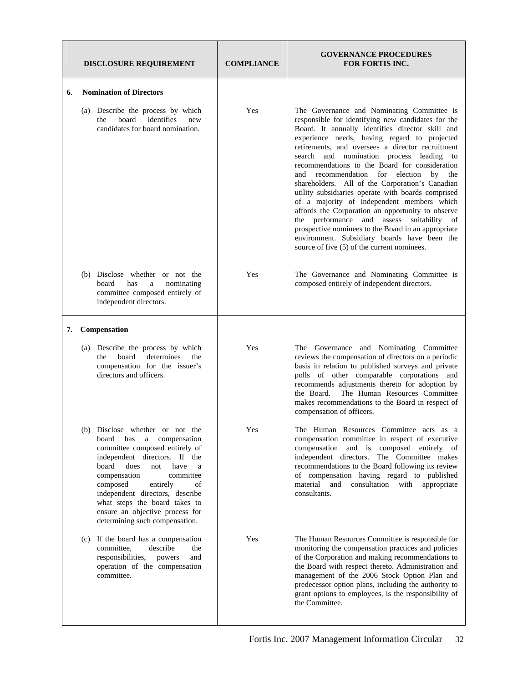|    | <b>DISCLOSURE REQUIREMENT</b>                                                                                                                                                                                                                                                                                                                                                    | <b>COMPLIANCE</b> | <b>GOVERNANCE PROCEDURES</b><br><b>FOR FORTIS INC.</b>                                                                                                                                                                                                                                                                                                                                                                                                                                                                                                                                                                                                                                                                                                                                                                               |
|----|----------------------------------------------------------------------------------------------------------------------------------------------------------------------------------------------------------------------------------------------------------------------------------------------------------------------------------------------------------------------------------|-------------------|--------------------------------------------------------------------------------------------------------------------------------------------------------------------------------------------------------------------------------------------------------------------------------------------------------------------------------------------------------------------------------------------------------------------------------------------------------------------------------------------------------------------------------------------------------------------------------------------------------------------------------------------------------------------------------------------------------------------------------------------------------------------------------------------------------------------------------------|
| 6. | <b>Nomination of Directors</b>                                                                                                                                                                                                                                                                                                                                                   |                   |                                                                                                                                                                                                                                                                                                                                                                                                                                                                                                                                                                                                                                                                                                                                                                                                                                      |
|    | Describe the process by which<br>(a)<br>board<br>identifies<br>new<br>the<br>candidates for board nomination.                                                                                                                                                                                                                                                                    | Yes               | The Governance and Nominating Committee is<br>responsible for identifying new candidates for the<br>Board. It annually identifies director skill and<br>experience needs, having regard to projected<br>retirements, and oversees a director recruitment<br>and nomination process leading<br>search<br>to<br>recommendations to the Board for consideration<br>recommendation for election<br>and<br>by<br>the<br>shareholders. All of the Corporation's Canadian<br>utility subsidiaries operate with boards comprised<br>of a majority of independent members which<br>affords the Corporation an opportunity to observe<br>the performance and<br>assess<br>suitability of<br>prospective nominees to the Board in an appropriate<br>environment. Subsidiary boards have been the<br>source of five (5) of the current nominees. |
|    | (b) Disclose whether or not the<br>nominating<br>board<br>has<br>a<br>committee composed entirely of<br>independent directors.                                                                                                                                                                                                                                                   | Yes               | The Governance and Nominating Committee is<br>composed entirely of independent directors.                                                                                                                                                                                                                                                                                                                                                                                                                                                                                                                                                                                                                                                                                                                                            |
| 7. | Compensation                                                                                                                                                                                                                                                                                                                                                                     |                   |                                                                                                                                                                                                                                                                                                                                                                                                                                                                                                                                                                                                                                                                                                                                                                                                                                      |
|    | (a) Describe the process by which<br>board<br>determines<br>the<br>the<br>compensation for the issuer's<br>directors and officers.                                                                                                                                                                                                                                               | Yes               | The Governance and Nominating Committee<br>reviews the compensation of directors on a periodic<br>basis in relation to published surveys and private<br>polls of other comparable corporations and<br>recommends adjustments thereto for adoption by<br>The Human Resources Committee<br>the Board.<br>makes recommendations to the Board in respect of<br>compensation of officers.                                                                                                                                                                                                                                                                                                                                                                                                                                                 |
|    | (b)<br>Disclose whether or not the<br>board<br>has<br>a compensation<br>committee composed entirely of<br>independent directors. If the<br>board<br>does<br>not<br>have<br>a<br>compensation<br>committee<br>composed<br>of<br>entirely<br>independent directors, describe<br>what steps the board takes to<br>ensure an objective process for<br>determining such compensation. | Yes               | The Human Resources Committee acts as a<br>compensation committee in respect of executive<br>compensation and is composed entirely of<br>independent directors. The Committee makes<br>recommendations to the Board following its review<br>of compensation having regard to published<br>material and consultation with appropriate<br>consultants.                                                                                                                                                                                                                                                                                                                                                                                                                                                                                 |
|    | If the board has a compensation<br>(c)<br>committee,<br>describe<br>the<br>responsibilities,<br>and<br>powers<br>operation of the compensation<br>committee.                                                                                                                                                                                                                     | Yes               | The Human Resources Committee is responsible for<br>monitoring the compensation practices and policies<br>of the Corporation and making recommendations to<br>the Board with respect thereto. Administration and<br>management of the 2006 Stock Option Plan and<br>predecessor option plans, including the authority to<br>grant options to employees, is the responsibility of<br>the Committee.                                                                                                                                                                                                                                                                                                                                                                                                                                   |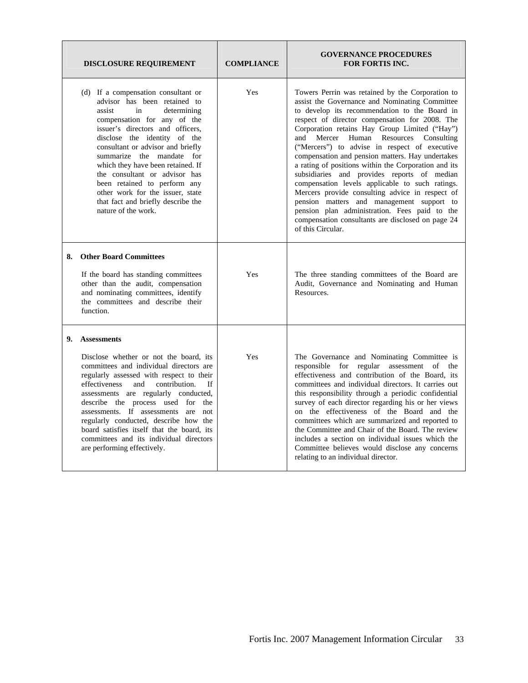|    | <b>DISCLOSURE REQUIREMENT</b>                                                                                                                                                                                                                                                                                                                                                                                                                                                              | <b>COMPLIANCE</b> | <b>GOVERNANCE PROCEDURES</b><br><b>FOR FORTIS INC.</b>                                                                                                                                                                                                                                                                                                                                                                                                                                                                                                                                                                                                                                                                                                                                       |
|----|--------------------------------------------------------------------------------------------------------------------------------------------------------------------------------------------------------------------------------------------------------------------------------------------------------------------------------------------------------------------------------------------------------------------------------------------------------------------------------------------|-------------------|----------------------------------------------------------------------------------------------------------------------------------------------------------------------------------------------------------------------------------------------------------------------------------------------------------------------------------------------------------------------------------------------------------------------------------------------------------------------------------------------------------------------------------------------------------------------------------------------------------------------------------------------------------------------------------------------------------------------------------------------------------------------------------------------|
|    | (d) If a compensation consultant or<br>advisor has been retained to<br>assist<br>in<br>determining<br>compensation for any of the<br>issuer's directors and officers,<br>disclose the identity of the<br>consultant or advisor and briefly<br>summarize the mandate for<br>which they have been retained. If<br>the consultant or advisor has<br>been retained to perform any<br>other work for the issuer, state<br>that fact and briefly describe the<br>nature of the work.             | Yes               | Towers Perrin was retained by the Corporation to<br>assist the Governance and Nominating Committee<br>to develop its recommendation to the Board in<br>respect of director compensation for 2008. The<br>Corporation retains Hay Group Limited ("Hay")<br>Mercer Human Resources Consulting<br>and<br>("Mercers") to advise in respect of executive<br>compensation and pension matters. Hay undertakes<br>a rating of positions within the Corporation and its<br>subsidiaries and provides reports of median<br>compensation levels applicable to such ratings.<br>Mercers provide consulting advice in respect of<br>pension matters and management support to<br>pension plan administration. Fees paid to the<br>compensation consultants are disclosed on page 24<br>of this Circular. |
| 8. | <b>Other Board Committees</b><br>If the board has standing committees<br>other than the audit, compensation<br>and nominating committees, identify<br>the committees and describe their<br>function.                                                                                                                                                                                                                                                                                       | Yes               | The three standing committees of the Board are<br>Audit, Governance and Nominating and Human<br>Resources.                                                                                                                                                                                                                                                                                                                                                                                                                                                                                                                                                                                                                                                                                   |
|    | 9. Assessments<br>Disclose whether or not the board, its<br>committees and individual directors are<br>regularly assessed with respect to their<br>effectiveness<br>and<br>contribution.<br><b>If</b><br>assessments are regularly conducted,<br>describe the process used for the<br>assessments. If assessments are not<br>regularly conducted, describe how the<br>board satisfies itself that the board, its<br>committees and its individual directors<br>are performing effectively. | Yes               | The Governance and Nominating Committee is<br>responsible for regular assessment of the<br>effectiveness and contribution of the Board, its<br>committees and individual directors. It carries out<br>this responsibility through a periodic confidential<br>survey of each director regarding his or her views<br>on the effectiveness of the Board and the<br>committees which are summarized and reported to<br>the Committee and Chair of the Board. The review<br>includes a section on individual issues which the<br>Committee believes would disclose any concerns<br>relating to an individual director.                                                                                                                                                                            |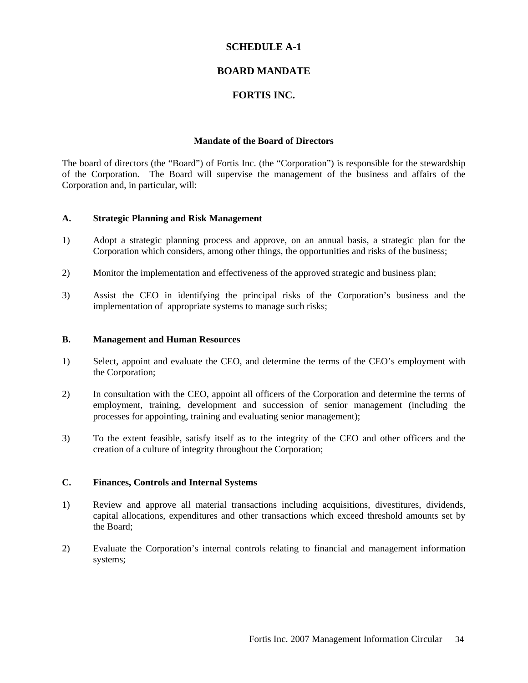#### **SCHEDULE A-1**

#### **BOARD MANDATE**

#### **FORTIS INC.**

#### **Mandate of the Board of Directors**

The board of directors (the "Board") of Fortis Inc. (the "Corporation") is responsible for the stewardship of the Corporation. The Board will supervise the management of the business and affairs of the Corporation and, in particular, will:

#### **A. Strategic Planning and Risk Management**

- 1) Adopt a strategic planning process and approve, on an annual basis, a strategic plan for the Corporation which considers, among other things, the opportunities and risks of the business;
- 2) Monitor the implementation and effectiveness of the approved strategic and business plan;
- 3) Assist the CEO in identifying the principal risks of the Corporation's business and the implementation of appropriate systems to manage such risks;

#### **B. Management and Human Resources**

- 1) Select, appoint and evaluate the CEO, and determine the terms of the CEO's employment with the Corporation;
- 2) In consultation with the CEO, appoint all officers of the Corporation and determine the terms of employment, training, development and succession of senior management (including the processes for appointing, training and evaluating senior management);
- 3) To the extent feasible, satisfy itself as to the integrity of the CEO and other officers and the creation of a culture of integrity throughout the Corporation;

#### **C. Finances, Controls and Internal Systems**

- 1) Review and approve all material transactions including acquisitions, divestitures, dividends, capital allocations, expenditures and other transactions which exceed threshold amounts set by the Board;
- 2) Evaluate the Corporation's internal controls relating to financial and management information systems;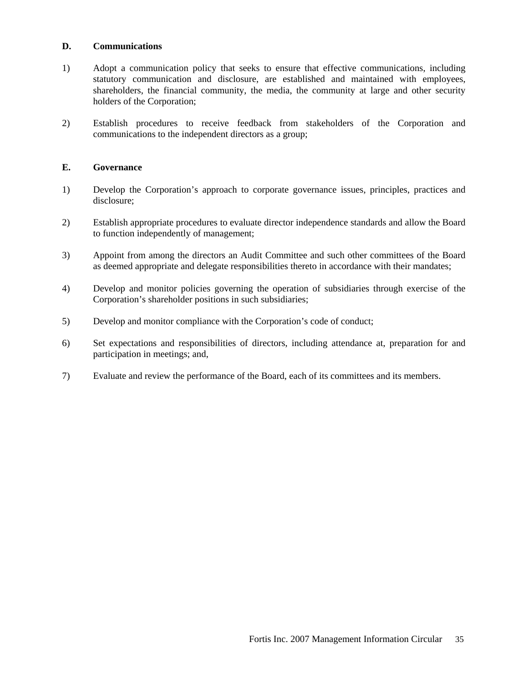#### **D. Communications**

- 1) Adopt a communication policy that seeks to ensure that effective communications, including statutory communication and disclosure, are established and maintained with employees, shareholders, the financial community, the media, the community at large and other security holders of the Corporation;
- 2) Establish procedures to receive feedback from stakeholders of the Corporation and communications to the independent directors as a group;

#### **E. Governance**

- 1) Develop the Corporation's approach to corporate governance issues, principles, practices and disclosure;
- 2) Establish appropriate procedures to evaluate director independence standards and allow the Board to function independently of management;
- 3) Appoint from among the directors an Audit Committee and such other committees of the Board as deemed appropriate and delegate responsibilities thereto in accordance with their mandates;
- 4) Develop and monitor policies governing the operation of subsidiaries through exercise of the Corporation's shareholder positions in such subsidiaries;
- 5) Develop and monitor compliance with the Corporation's code of conduct;
- 6) Set expectations and responsibilities of directors, including attendance at, preparation for and participation in meetings; and,
- 7) Evaluate and review the performance of the Board, each of its committees and its members.